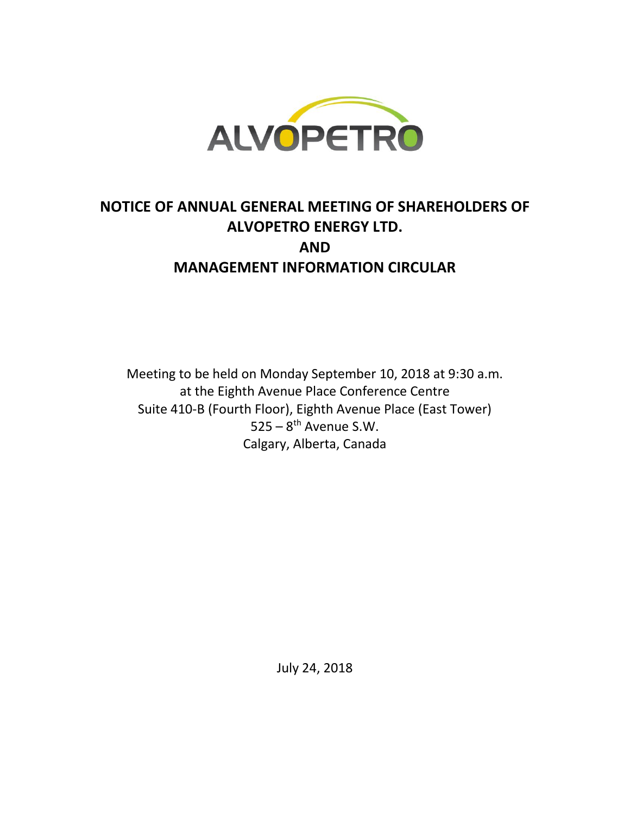

# **NOTICE OF ANNUAL GENERAL MEETING OF SHAREHOLDERS OF ALVOPETRO ENERGY LTD. AND MANAGEMENT INFORMATION CIRCULAR**

Meeting to be held on Monday September 10, 2018 at 9:30 a.m. at the Eighth Avenue Place Conference Centre Suite 410-B (Fourth Floor), Eighth Avenue Place (East Tower)  $525 - 8$ <sup>th</sup> Avenue S.W. Calgary, Alberta, Canada

July 24, 2018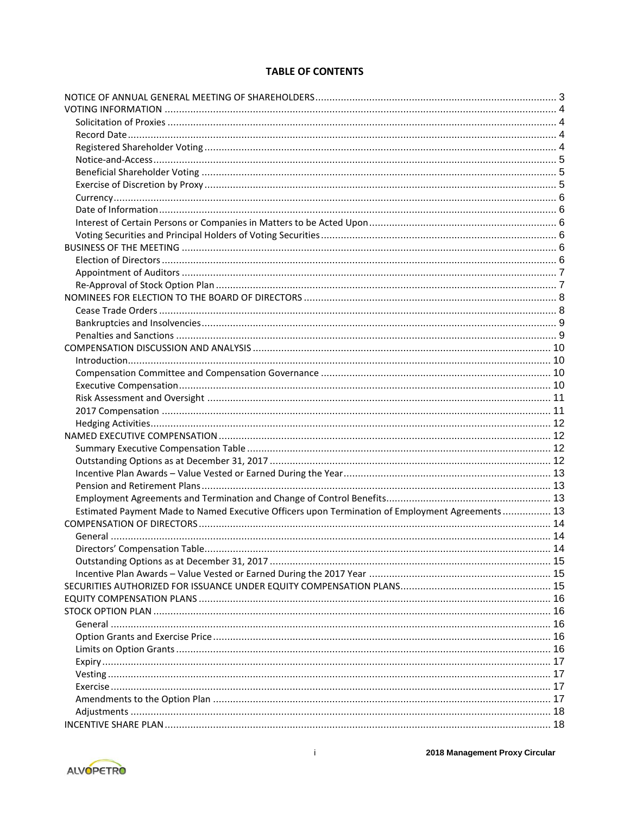# **TABLE OF CONTENTS**

| Estimated Payment Made to Named Executive Officers upon Termination of Employment Agreements 13 |    |
|-------------------------------------------------------------------------------------------------|----|
|                                                                                                 |    |
|                                                                                                 |    |
| Directors' Compensation Table                                                                   | 14 |
|                                                                                                 |    |
|                                                                                                 |    |
|                                                                                                 |    |
|                                                                                                 |    |
|                                                                                                 |    |
|                                                                                                 |    |
|                                                                                                 |    |
|                                                                                                 |    |
|                                                                                                 |    |
|                                                                                                 |    |
|                                                                                                 |    |
|                                                                                                 |    |
|                                                                                                 |    |
|                                                                                                 |    |
|                                                                                                 |    |

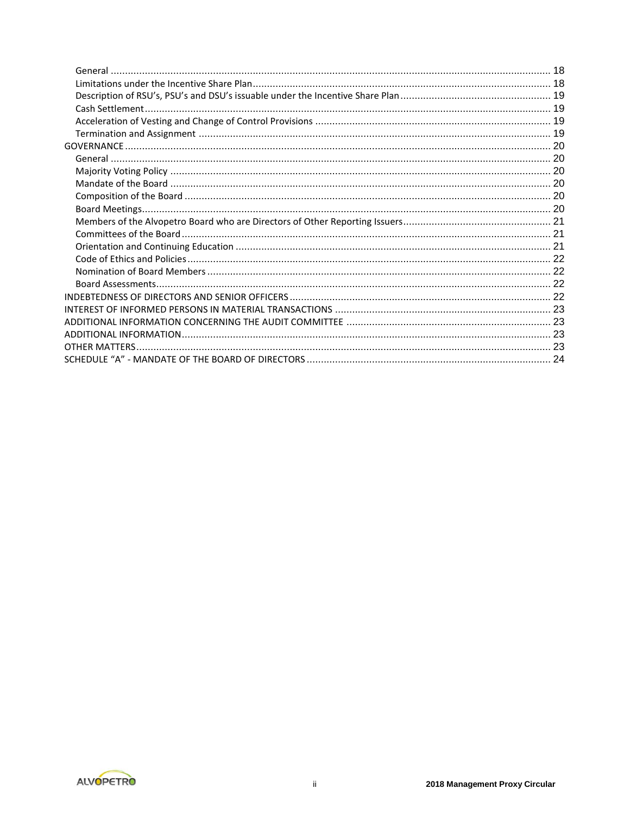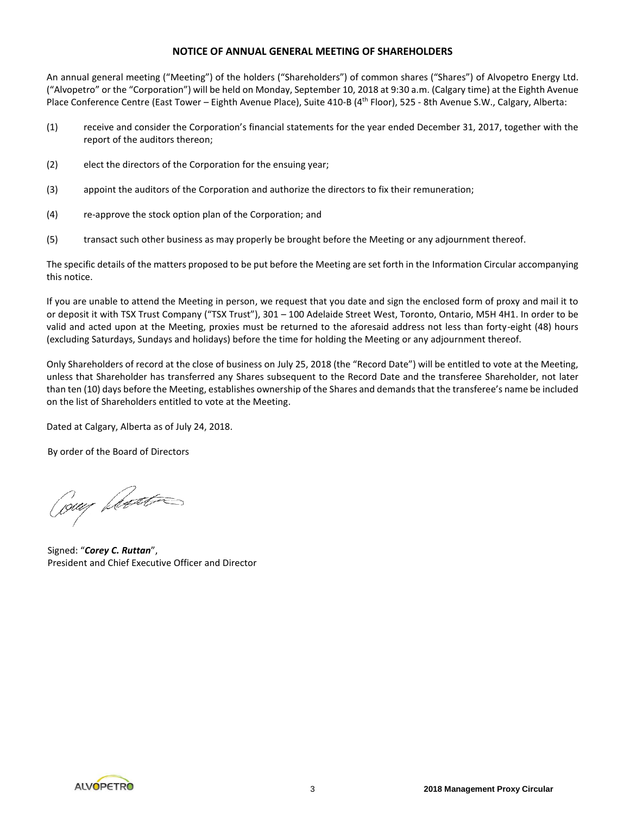## **NOTICE OF ANNUAL GENERAL MEETING OF SHAREHOLDERS**

An annual general meeting ("Meeting") of the holders ("Shareholders") of common shares ("Shares") of Alvopetro Energy Ltd. ("Alvopetro" or the "Corporation") will be held on Monday, September 10, 2018 at 9:30 a.m. (Calgary time) at the Eighth Avenue Place Conference Centre (East Tower – Eighth Avenue Place), Suite 410-B (4<sup>th</sup> Floor), 525 - 8th Avenue S.W., Calgary, Alberta:

- (1) receive and consider the Corporation's financial statements for the year ended December 31, 2017, together with the report of the auditors thereon;
- (2) elect the directors of the Corporation for the ensuing year;
- (3) appoint the auditors of the Corporation and authorize the directors to fix their remuneration;
- (4) re-approve the stock option plan of the Corporation; and
- (5) transact such other business as may properly be brought before the Meeting or any adjournment thereof.

The specific details of the matters proposed to be put before the Meeting are set forth in the Information Circular accompanying this notice.

If you are unable to attend the Meeting in person, we request that you date and sign the enclosed form of proxy and mail it to or deposit it with TSX Trust Company ("TSX Trust"), 301 – 100 Adelaide Street West, Toronto, Ontario, M5H 4H1. In order to be valid and acted upon at the Meeting, proxies must be returned to the aforesaid address not less than forty-eight (48) hours (excluding Saturdays, Sundays and holidays) before the time for holding the Meeting or any adjournment thereof.

Only Shareholders of record at the close of business on July 25, 2018 (the "Record Date") will be entitled to vote at the Meeting, unless that Shareholder has transferred any Shares subsequent to the Record Date and the transferee Shareholder, not later than ten (10) days before the Meeting, establishes ownership of the Shares and demands that the transferee's name be included on the list of Shareholders entitled to vote at the Meeting.

Dated at Calgary, Alberta as of July 24, 2018.

By order of the Board of Directors

Cour Lector

Signed: "*Corey C. Ruttan*", President and Chief Executive Officer and Director

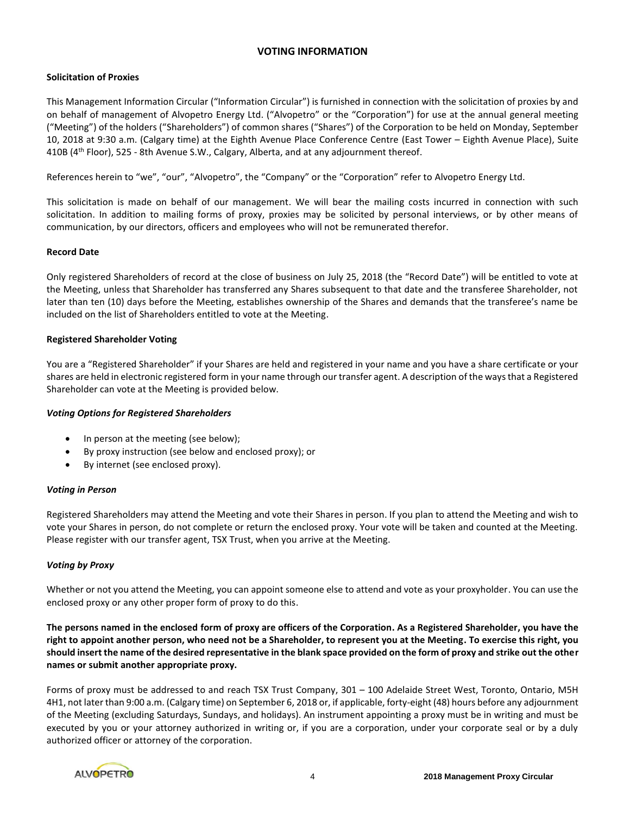## **VOTING INFORMATION**

## **Solicitation of Proxies**

This Management Information Circular ("Information Circular") is furnished in connection with the solicitation of proxies by and on behalf of management of Alvopetro Energy Ltd. ("Alvopetro" or the "Corporation") for use at the annual general meeting ("Meeting") of the holders ("Shareholders") of common shares ("Shares") of the Corporation to be held on Monday, September 10, 2018 at 9:30 a.m. (Calgary time) at the Eighth Avenue Place Conference Centre (East Tower – Eighth Avenue Place), Suite 410B ( $4<sup>th</sup>$  Floor), 525 - 8th Avenue S.W., Calgary, Alberta, and at any adjournment thereof.

References herein to "we", "our", "Alvopetro", the "Company" or the "Corporation" refer to Alvopetro Energy Ltd.

This solicitation is made on behalf of our management. We will bear the mailing costs incurred in connection with such solicitation. In addition to mailing forms of proxy, proxies may be solicited by personal interviews, or by other means of communication, by our directors, officers and employees who will not be remunerated therefor.

## **Record Date**

Only registered Shareholders of record at the close of business on July 25, 2018 (the "Record Date") will be entitled to vote at the Meeting, unless that Shareholder has transferred any Shares subsequent to that date and the transferee Shareholder, not later than ten (10) days before the Meeting, establishes ownership of the Shares and demands that the transferee's name be included on the list of Shareholders entitled to vote at the Meeting.

## **Registered Shareholder Voting**

You are a "Registered Shareholder" if your Shares are held and registered in your name and you have a share certificate or your shares are held in electronic registered form in your name through our transfer agent. A description of the ways that a Registered Shareholder can vote at the Meeting is provided below.

## *Voting Options for Registered Shareholders*

- In person at the meeting (see below);
- By proxy instruction (see below and enclosed proxy); or
- By internet (see enclosed proxy).

## *Voting in Person*

Registered Shareholders may attend the Meeting and vote their Shares in person. If you plan to attend the Meeting and wish to vote your Shares in person, do not complete or return the enclosed proxy. Your vote will be taken and counted at the Meeting. Please register with our transfer agent, TSX Trust, when you arrive at the Meeting.

## *Voting by Proxy*

Whether or not you attend the Meeting, you can appoint someone else to attend and vote as your proxyholder. You can use the enclosed proxy or any other proper form of proxy to do this.

**The persons named in the enclosed form of proxy are officers of the Corporation. As a Registered Shareholder, you have the right to appoint another person, who need not be a Shareholder, to represent you at the Meeting. To exercise this right, you should insert the name of the desired representative in the blank space provided on the form of proxy and strike out the other names or submit another appropriate proxy.**

Forms of proxy must be addressed to and reach TSX Trust Company, 301 – 100 Adelaide Street West, Toronto, Ontario, M5H 4H1, not later than 9:00 a.m. (Calgary time) on September 6, 2018 or, if applicable, forty-eight (48) hours before any adjournment of the Meeting (excluding Saturdays, Sundays, and holidays). An instrument appointing a proxy must be in writing and must be executed by you or your attorney authorized in writing or, if you are a corporation, under your corporate seal or by a duly authorized officer or attorney of the corporation.

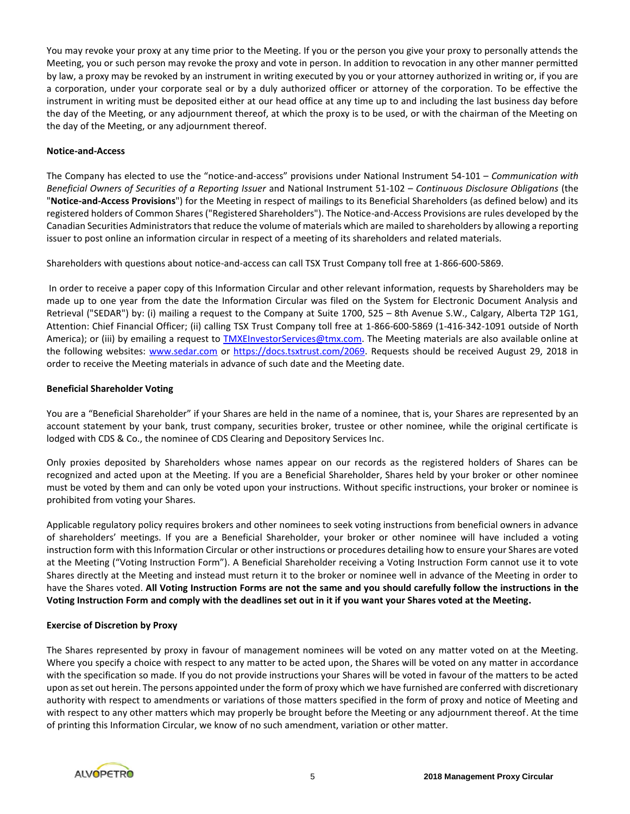You may revoke your proxy at any time prior to the Meeting. If you or the person you give your proxy to personally attends the Meeting, you or such person may revoke the proxy and vote in person. In addition to revocation in any other manner permitted by law, a proxy may be revoked by an instrument in writing executed by you or your attorney authorized in writing or, if you are a corporation, under your corporate seal or by a duly authorized officer or attorney of the corporation. To be effective the instrument in writing must be deposited either at our head office at any time up to and including the last business day before the day of the Meeting, or any adjournment thereof, at which the proxy is to be used, or with the chairman of the Meeting on the day of the Meeting, or any adjournment thereof.

## **Notice-and-Access**

The Company has elected to use the "notice-and-access" provisions under National Instrument 54-101 – *Communication with Beneficial Owners of Securities of a Reporting Issuer* and National Instrument 51-102 – *Continuous Disclosure Obligations* (the "**Notice-and-Access Provisions**") for the Meeting in respect of mailings to its Beneficial Shareholders (as defined below) and its registered holders of Common Shares ("Registered Shareholders"). The Notice-and-Access Provisions are rules developed by the Canadian Securities Administrators that reduce the volume of materials which are mailed to shareholders by allowing a reporting issuer to post online an information circular in respect of a meeting of its shareholders and related materials.

Shareholders with questions about notice-and-access can call TSX Trust Company toll free at 1-866-600-5869.

In order to receive a paper copy of this Information Circular and other relevant information, requests by Shareholders may be made up to one year from the date the Information Circular was filed on the System for Electronic Document Analysis and Retrieval ("SEDAR") by: (i) mailing a request to the Company at Suite 1700, 525 – 8th Avenue S.W., Calgary, Alberta T2P 1G1, Attention: Chief Financial Officer; (ii) calling TSX Trust Company toll free at 1-866-600-5869 (1-416-342-1091 outside of North America); or (iii) by emailing a request to [TMXEInvestorServices@tmx.com.](mailto:TMXEInvestorServices@tmx.com) The Meeting materials are also available online at the following websites: [www.sedar.com](http://www.sedar.com/) or [https://docs.tsxtrust.com/2069.](https://docs.tsxtrust.com/2069) Requests should be received August 29, 2018 in order to receive the Meeting materials in advance of such date and the Meeting date.

## **Beneficial Shareholder Voting**

You are a "Beneficial Shareholder" if your Shares are held in the name of a nominee, that is, your Shares are represented by an account statement by your bank, trust company, securities broker, trustee or other nominee, while the original certificate is lodged with CDS & Co., the nominee of CDS Clearing and Depository Services Inc.

Only proxies deposited by Shareholders whose names appear on our records as the registered holders of Shares can be recognized and acted upon at the Meeting. If you are a Beneficial Shareholder, Shares held by your broker or other nominee must be voted by them and can only be voted upon your instructions. Without specific instructions, your broker or nominee is prohibited from voting your Shares.

Applicable regulatory policy requires brokers and other nominees to seek voting instructions from beneficial owners in advance of shareholders' meetings. If you are a Beneficial Shareholder, your broker or other nominee will have included a voting instruction form with this Information Circular or other instructions or procedures detailing how to ensure your Shares are voted at the Meeting ("Voting Instruction Form"). A Beneficial Shareholder receiving a Voting Instruction Form cannot use it to vote Shares directly at the Meeting and instead must return it to the broker or nominee well in advance of the Meeting in order to have the Shares voted. **All Voting Instruction Forms are not the same and you should carefully follow the instructions in the Voting Instruction Form and comply with the deadlines set out in it if you want your Shares voted at the Meeting.** 

## **Exercise of Discretion by Proxy**

The Shares represented by proxy in favour of management nominees will be voted on any matter voted on at the Meeting. Where you specify a choice with respect to any matter to be acted upon, the Shares will be voted on any matter in accordance with the specification so made. If you do not provide instructions your Shares will be voted in favour of the matters to be acted upon as set out herein. The persons appointed under the form of proxy which we have furnished are conferred with discretionary authority with respect to amendments or variations of those matters specified in the form of proxy and notice of Meeting and with respect to any other matters which may properly be brought before the Meeting or any adjournment thereof. At the time of printing this Information Circular, we know of no such amendment, variation or other matter.

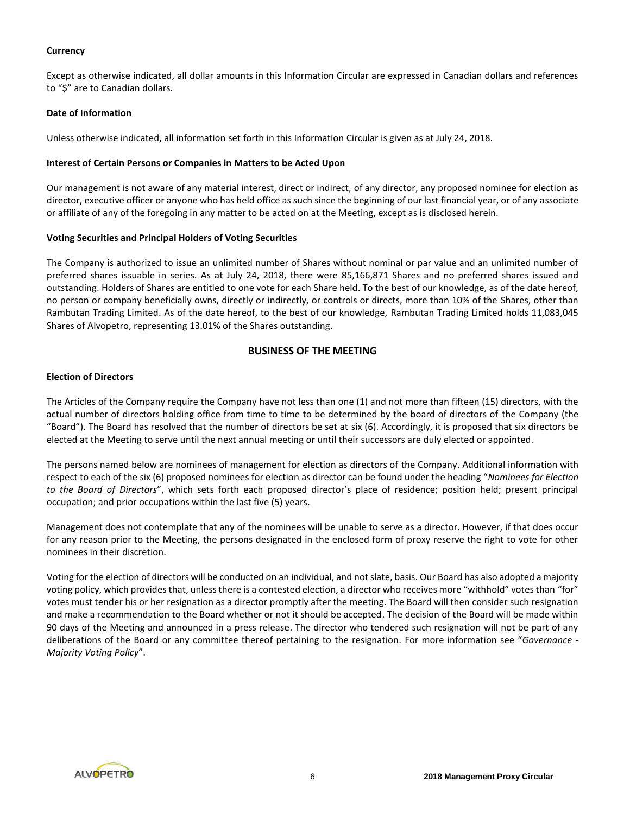## **Currency**

Except as otherwise indicated, all dollar amounts in this Information Circular are expressed in Canadian dollars and references to "\$" are to Canadian dollars.

#### **Date of Information**

Unless otherwise indicated, all information set forth in this Information Circular is given as at July 24, 2018.

#### **Interest of Certain Persons or Companies in Matters to be Acted Upon**

Our management is not aware of any material interest, direct or indirect, of any director, any proposed nominee for election as director, executive officer or anyone who has held office as such since the beginning of our last financial year, or of any associate or affiliate of any of the foregoing in any matter to be acted on at the Meeting, except as is disclosed herein.

## **Voting Securities and Principal Holders of Voting Securities**

The Company is authorized to issue an unlimited number of Shares without nominal or par value and an unlimited number of preferred shares issuable in series. As at July 24, 2018, there were 85,166,871 Shares and no preferred shares issued and outstanding. Holders of Shares are entitled to one vote for each Share held. To the best of our knowledge, as of the date hereof, no person or company beneficially owns, directly or indirectly, or controls or directs, more than 10% of the Shares, other than Rambutan Trading Limited. As of the date hereof, to the best of our knowledge, Rambutan Trading Limited holds 11,083,045 Shares of Alvopetro, representing 13.01% of the Shares outstanding.

## **BUSINESS OF THE MEETING**

## **Election of Directors**

The Articles of the Company require the Company have not less than one (1) and not more than fifteen (15) directors, with the actual number of directors holding office from time to time to be determined by the board of directors of the Company (the "Board"). The Board has resolved that the number of directors be set at six (6). Accordingly, it is proposed that six directors be elected at the Meeting to serve until the next annual meeting or until their successors are duly elected or appointed.

The persons named below are nominees of management for election as directors of the Company. Additional information with respect to each of the six (6) proposed nominees for election as director can be found under the heading "*Nominees for Election to the Board of Directors*", which sets forth each proposed director's place of residence; position held; present principal occupation; and prior occupations within the last five (5) years.

Management does not contemplate that any of the nominees will be unable to serve as a director. However, if that does occur for any reason prior to the Meeting, the persons designated in the enclosed form of proxy reserve the right to vote for other nominees in their discretion.

Voting for the election of directors will be conducted on an individual, and not slate, basis. Our Board has also adopted a majority voting policy, which provides that, unless there is a contested election, a director who receives more "withhold" votes than "for" votes must tender his or her resignation as a director promptly after the meeting. The Board will then consider such resignation and make a recommendation to the Board whether or not it should be accepted. The decision of the Board will be made within 90 days of the Meeting and announced in a press release. The director who tendered such resignation will not be part of any deliberations of the Board or any committee thereof pertaining to the resignation. For more information see "*Governance - Majority Voting Policy*".

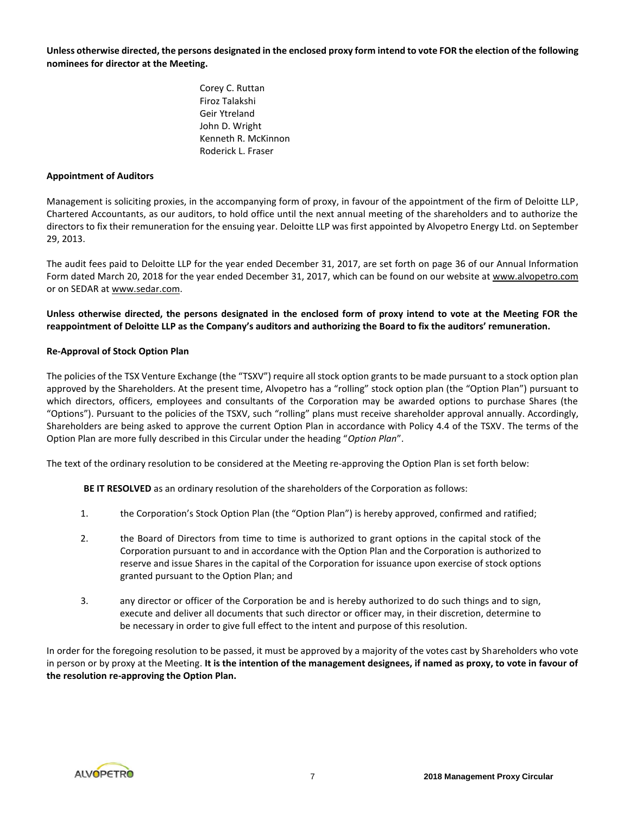**Unless otherwise directed, the persons designated in the enclosed proxy form intend to vote FOR the election of the following nominees for director at the Meeting.**

> Corey C. Ruttan Firoz Talakshi Geir Ytreland John D. Wright Kenneth R. McKinnon Roderick L. Fraser

## **Appointment of Auditors**

Management is soliciting proxies, in the accompanying form of proxy, in favour of the appointment of the firm of Deloitte LLP, Chartered Accountants, as our auditors, to hold office until the next annual meeting of the shareholders and to authorize the directors to fix their remuneration for the ensuing year. Deloitte LLP was first appointed by Alvopetro Energy Ltd. on September 29, 2013.

The audit fees paid to Deloitte LLP for the year ended December 31, 2017, are set forth on page 36 of our Annual Information Form dated March 20, 2018 for the year ended December 31, 2017, which can be found on our website at www.alvopetro.com or on SEDAR at www.sedar.com.

**Unless otherwise directed, the persons designated in the enclosed form of proxy intend to vote at the Meeting FOR the reappointment of Deloitte LLP as the Company's auditors and authorizing the Board to fix the auditors' remuneration.**

## **Re-Approval of Stock Option Plan**

The policies of the TSX Venture Exchange (the "TSXV") require all stock option grants to be made pursuant to a stock option plan approved by the Shareholders. At the present time, Alvopetro has a "rolling" stock option plan (the "Option Plan") pursuant to which directors, officers, employees and consultants of the Corporation may be awarded options to purchase Shares (the "Options"). Pursuant to the policies of the TSXV, such "rolling" plans must receive shareholder approval annually. Accordingly, Shareholders are being asked to approve the current Option Plan in accordance with Policy 4.4 of the TSXV. The terms of the Option Plan are more fully described in this Circular under the heading "*Option Plan*".

The text of the ordinary resolution to be considered at the Meeting re-approving the Option Plan is set forth below:

**BE IT RESOLVED** as an ordinary resolution of the shareholders of the Corporation as follows:

- 1. the Corporation's Stock Option Plan (the "Option Plan") is hereby approved, confirmed and ratified;
- 2. the Board of Directors from time to time is authorized to grant options in the capital stock of the Corporation pursuant to and in accordance with the Option Plan and the Corporation is authorized to reserve and issue Shares in the capital of the Corporation for issuance upon exercise of stock options granted pursuant to the Option Plan; and
- 3. any director or officer of the Corporation be and is hereby authorized to do such things and to sign, execute and deliver all documents that such director or officer may, in their discretion, determine to be necessary in order to give full effect to the intent and purpose of this resolution.

In order for the foregoing resolution to be passed, it must be approved by a majority of the votes cast by Shareholders who vote in person or by proxy at the Meeting. **It is the intention of the management designees, if named as proxy, to vote in favour of the resolution re-approving the Option Plan.**

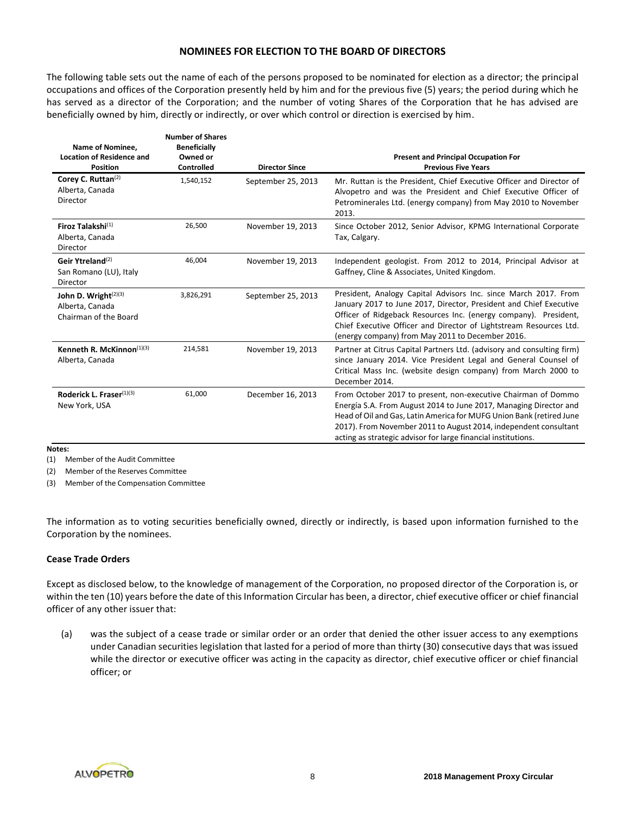## **NOMINEES FOR ELECTION TO THE BOARD OF DIRECTORS**

The following table sets out the name of each of the persons proposed to be nominated for election as a director; the principal occupations and offices of the Corporation presently held by him and for the previous five (5) years; the period during which he has served as a director of the Corporation; and the number of voting Shares of the Corporation that he has advised are beneficially owned by him, directly or indirectly, or over which control or direction is exercised by him.

| Name of Nominee,<br><b>Location of Residence and</b><br><b>Position</b> | <b>Number of Shares</b><br><b>Beneficially</b><br>Owned or<br><b>Controlled</b> | <b>Director Since</b> | <b>Present and Principal Occupation For</b><br><b>Previous Five Years</b>                                                                                                                                                                                                                                                                       |
|-------------------------------------------------------------------------|---------------------------------------------------------------------------------|-----------------------|-------------------------------------------------------------------------------------------------------------------------------------------------------------------------------------------------------------------------------------------------------------------------------------------------------------------------------------------------|
| Corey C. Ruttan <sup>(2)</sup><br>Alberta, Canada<br>Director           | 1,540,152                                                                       | September 25, 2013    | Mr. Ruttan is the President, Chief Executive Officer and Director of<br>Alvopetro and was the President and Chief Executive Officer of<br>Petrominerales Ltd. (energy company) from May 2010 to November<br>2013.                                                                                                                               |
| Firoz Talakshi <sup>(1)</sup><br>Alberta, Canada<br>Director            | 26,500                                                                          | November 19, 2013     | Since October 2012, Senior Advisor, KPMG International Corporate<br>Tax, Calgary.                                                                                                                                                                                                                                                               |
| Geir Ytreland <sup>(2)</sup><br>San Romano (LU), Italy<br>Director      | 46,004                                                                          | November 19, 2013     | Independent geologist. From 2012 to 2014, Principal Advisor at<br>Gaffney, Cline & Associates, United Kingdom.                                                                                                                                                                                                                                  |
| John D. Wright $(2)(3)$<br>Alberta, Canada<br>Chairman of the Board     | 3,826,291                                                                       | September 25, 2013    | President, Analogy Capital Advisors Inc. since March 2017. From<br>January 2017 to June 2017, Director, President and Chief Executive<br>Officer of Ridgeback Resources Inc. (energy company). President,<br>Chief Executive Officer and Director of Lightstream Resources Ltd.<br>(energy company) from May 2011 to December 2016.             |
| Kenneth R. McKinnon $(1)(3)$<br>Alberta, Canada                         | 214,581                                                                         | November 19, 2013     | Partner at Citrus Capital Partners Ltd. (advisory and consulting firm)<br>since January 2014. Vice President Legal and General Counsel of<br>Critical Mass Inc. (website design company) from March 2000 to<br>December 2014.                                                                                                                   |
| Roderick L. Fraser(1)(3)<br>New York, USA                               | 61,000                                                                          | December 16, 2013     | From October 2017 to present, non-executive Chairman of Dommo<br>Energía S.A. From August 2014 to June 2017, Managing Director and<br>Head of Oil and Gas, Latin America for MUFG Union Bank (retired June<br>2017). From November 2011 to August 2014, independent consultant<br>acting as strategic advisor for large financial institutions. |

**Notes:**

(1) Member of the Audit Committee

(2) Member of the Reserves Committee

(3) Member of the Compensation Committee

The information as to voting securities beneficially owned, directly or indirectly, is based upon information furnished to the Corporation by the nominees.

## **Cease Trade Orders**

Except as disclosed below, to the knowledge of management of the Corporation, no proposed director of the Corporation is, or within the ten (10) years before the date of this Information Circular has been, a director, chief executive officer or chief financial officer of any other issuer that:

(a) was the subject of a cease trade or similar order or an order that denied the other issuer access to any exemptions under Canadian securities legislation that lasted for a period of more than thirty (30) consecutive days that was issued while the director or executive officer was acting in the capacity as director, chief executive officer or chief financial officer; or

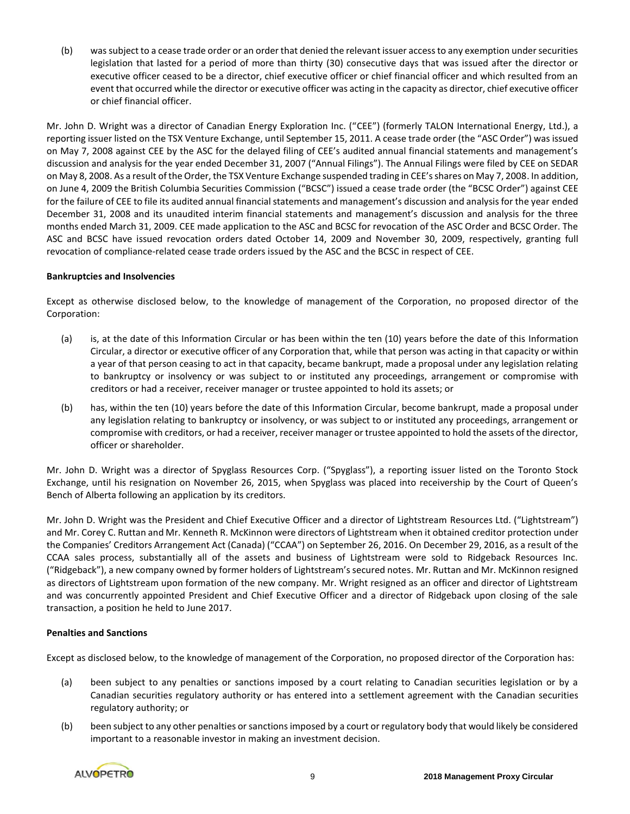(b) was subject to a cease trade order or an order that denied the relevant issuer access to any exemption under securities legislation that lasted for a period of more than thirty (30) consecutive days that was issued after the director or executive officer ceased to be a director, chief executive officer or chief financial officer and which resulted from an event that occurred while the director or executive officer was acting in the capacity as director, chief executive officer or chief financial officer.

Mr. John D. Wright was a director of Canadian Energy Exploration Inc. ("CEE") (formerly TALON International Energy, Ltd.), a reporting issuer listed on the TSX Venture Exchange, until September 15, 2011. A cease trade order (the "ASC Order") was issued on May 7, 2008 against CEE by the ASC for the delayed filing of CEE's audited annual financial statements and management's discussion and analysis for the year ended December 31, 2007 ("Annual Filings"). The Annual Filings were filed by CEE on SEDAR on May 8, 2008. As a result of the Order, the TSX Venture Exchange suspended trading in CEE's shares on May 7, 2008. In addition, on June 4, 2009 the British Columbia Securities Commission ("BCSC") issued a cease trade order (the "BCSC Order") against CEE for the failure of CEE to file its audited annual financial statements and management's discussion and analysis for the year ended December 31, 2008 and its unaudited interim financial statements and management's discussion and analysis for the three months ended March 31, 2009. CEE made application to the ASC and BCSC for revocation of the ASC Order and BCSC Order. The ASC and BCSC have issued revocation orders dated October 14, 2009 and November 30, 2009, respectively, granting full revocation of compliance-related cease trade orders issued by the ASC and the BCSC in respect of CEE.

## **Bankruptcies and Insolvencies**

Except as otherwise disclosed below, to the knowledge of management of the Corporation, no proposed director of the Corporation:

- (a) is, at the date of this Information Circular or has been within the ten (10) years before the date of this Information Circular, a director or executive officer of any Corporation that, while that person was acting in that capacity or within a year of that person ceasing to act in that capacity, became bankrupt, made a proposal under any legislation relating to bankruptcy or insolvency or was subject to or instituted any proceedings, arrangement or compromise with creditors or had a receiver, receiver manager or trustee appointed to hold its assets; or
- (b) has, within the ten (10) years before the date of this Information Circular, become bankrupt, made a proposal under any legislation relating to bankruptcy or insolvency, or was subject to or instituted any proceedings, arrangement or compromise with creditors, or had a receiver, receiver manager or trustee appointed to hold the assets of the director, officer or shareholder.

Mr. John D. Wright was a director of Spyglass Resources Corp. ("Spyglass"), a reporting issuer listed on the Toronto Stock Exchange, until his resignation on November 26, 2015, when Spyglass was placed into receivership by the Court of Queen's Bench of Alberta following an application by its creditors.

Mr. John D. Wright was the President and Chief Executive Officer and a director of Lightstream Resources Ltd. ("Lightstream") and Mr. Corey C. Ruttan and Mr. Kenneth R. McKinnon were directors of Lightstream when it obtained creditor protection under the Companies' Creditors Arrangement Act (Canada) ("CCAA") on September 26, 2016. On December 29, 2016, as a result of the CCAA sales process, substantially all of the assets and business of Lightstream were sold to Ridgeback Resources Inc. ("Ridgeback"), a new company owned by former holders of Lightstream's secured notes. Mr. Ruttan and Mr. McKinnon resigned as directors of Lightstream upon formation of the new company. Mr. Wright resigned as an officer and director of Lightstream and was concurrently appointed President and Chief Executive Officer and a director of Ridgeback upon closing of the sale transaction, a position he held to June 2017.

## **Penalties and Sanctions**

Except as disclosed below, to the knowledge of management of the Corporation, no proposed director of the Corporation has:

- (a) been subject to any penalties or sanctions imposed by a court relating to Canadian securities legislation or by a Canadian securities regulatory authority or has entered into a settlement agreement with the Canadian securities regulatory authority; or
- (b) been subject to any other penalties or sanctions imposed by a court or regulatory body that would likely be considered important to a reasonable investor in making an investment decision.

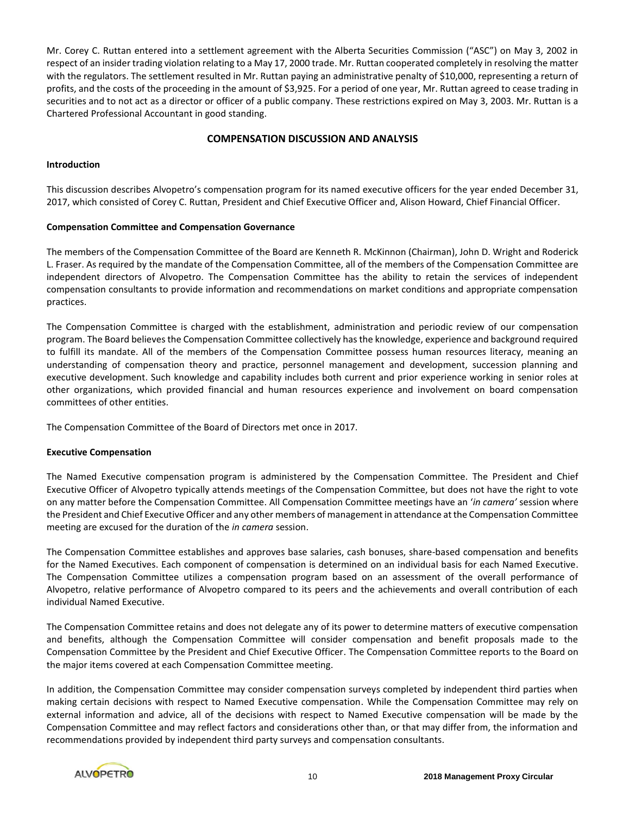Mr. Corey C. Ruttan entered into a settlement agreement with the Alberta Securities Commission ("ASC") on May 3, 2002 in respect of an insider trading violation relating to a May 17, 2000 trade. Mr. Ruttan cooperated completely in resolving the matter with the regulators. The settlement resulted in Mr. Ruttan paying an administrative penalty of \$10,000, representing a return of profits, and the costs of the proceeding in the amount of \$3,925. For a period of one year, Mr. Ruttan agreed to cease trading in securities and to not act as a director or officer of a public company. These restrictions expired on May 3, 2003. Mr. Ruttan is a Chartered Professional Accountant in good standing.

## **COMPENSATION DISCUSSION AND ANALYSIS**

## **Introduction**

This discussion describes Alvopetro's compensation program for its named executive officers for the year ended December 31, 2017, which consisted of Corey C. Ruttan, President and Chief Executive Officer and, Alison Howard, Chief Financial Officer.

## **Compensation Committee and Compensation Governance**

The members of the Compensation Committee of the Board are Kenneth R. McKinnon (Chairman), John D. Wright and Roderick L. Fraser. As required by the mandate of the Compensation Committee, all of the members of the Compensation Committee are independent directors of Alvopetro. The Compensation Committee has the ability to retain the services of independent compensation consultants to provide information and recommendations on market conditions and appropriate compensation practices.

The Compensation Committee is charged with the establishment, administration and periodic review of our compensation program. The Board believes the Compensation Committee collectively has the knowledge, experience and background required to fulfill its mandate. All of the members of the Compensation Committee possess human resources literacy, meaning an understanding of compensation theory and practice, personnel management and development, succession planning and executive development. Such knowledge and capability includes both current and prior experience working in senior roles at other organizations, which provided financial and human resources experience and involvement on board compensation committees of other entities.

The Compensation Committee of the Board of Directors met once in 2017.

#### **Executive Compensation**

The Named Executive compensation program is administered by the Compensation Committee. The President and Chief Executive Officer of Alvopetro typically attends meetings of the Compensation Committee, but does not have the right to vote on any matter before the Compensation Committee. All Compensation Committee meetings have an '*in camera'* session where the President and Chief Executive Officer and any other members of management in attendance at the Compensation Committee meeting are excused for the duration of the *in camera* session.

The Compensation Committee establishes and approves base salaries, cash bonuses, share-based compensation and benefits for the Named Executives. Each component of compensation is determined on an individual basis for each Named Executive. The Compensation Committee utilizes a compensation program based on an assessment of the overall performance of Alvopetro, relative performance of Alvopetro compared to its peers and the achievements and overall contribution of each individual Named Executive.

The Compensation Committee retains and does not delegate any of its power to determine matters of executive compensation and benefits, although the Compensation Committee will consider compensation and benefit proposals made to the Compensation Committee by the President and Chief Executive Officer. The Compensation Committee reports to the Board on the major items covered at each Compensation Committee meeting.

In addition, the Compensation Committee may consider compensation surveys completed by independent third parties when making certain decisions with respect to Named Executive compensation. While the Compensation Committee may rely on external information and advice, all of the decisions with respect to Named Executive compensation will be made by the Compensation Committee and may reflect factors and considerations other than, or that may differ from, the information and recommendations provided by independent third party surveys and compensation consultants.

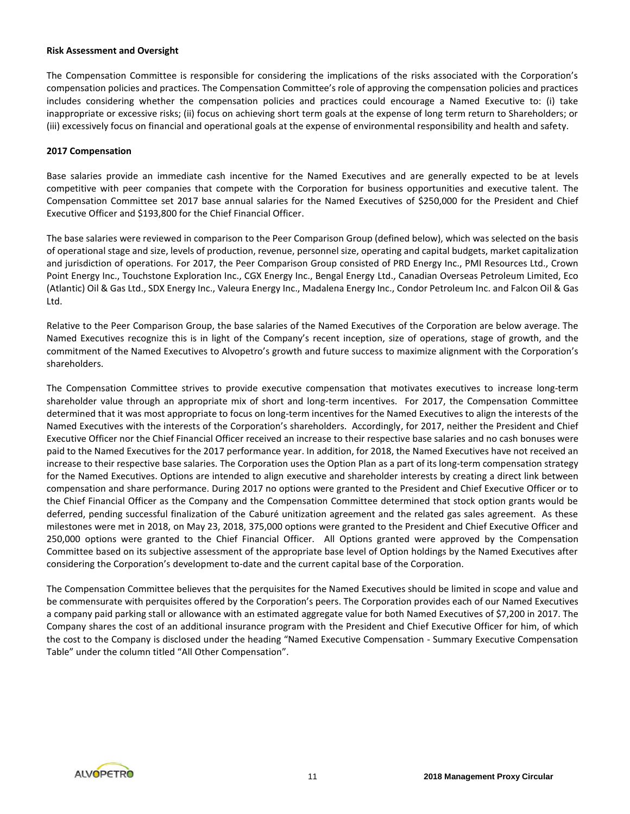#### **Risk Assessment and Oversight**

The Compensation Committee is responsible for considering the implications of the risks associated with the Corporation's compensation policies and practices. The Compensation Committee's role of approving the compensation policies and practices includes considering whether the compensation policies and practices could encourage a Named Executive to: (i) take inappropriate or excessive risks; (ii) focus on achieving short term goals at the expense of long term return to Shareholders; or (iii) excessively focus on financial and operational goals at the expense of environmental responsibility and health and safety.

## **2017 Compensation**

Base salaries provide an immediate cash incentive for the Named Executives and are generally expected to be at levels competitive with peer companies that compete with the Corporation for business opportunities and executive talent. The Compensation Committee set 2017 base annual salaries for the Named Executives of \$250,000 for the President and Chief Executive Officer and \$193,800 for the Chief Financial Officer.

The base salaries were reviewed in comparison to the Peer Comparison Group (defined below), which was selected on the basis of operational stage and size, levels of production, revenue, personnel size, operating and capital budgets, market capitalization and jurisdiction of operations. For 2017, the Peer Comparison Group consisted of PRD Energy Inc., PMI Resources Ltd., Crown Point Energy Inc., Touchstone Exploration Inc., CGX Energy Inc., Bengal Energy Ltd., Canadian Overseas Petroleum Limited, Eco (Atlantic) Oil & Gas Ltd., SDX Energy Inc., Valeura Energy Inc., Madalena Energy Inc., Condor Petroleum Inc. and Falcon Oil & Gas Ltd.

Relative to the Peer Comparison Group, the base salaries of the Named Executives of the Corporation are below average. The Named Executives recognize this is in light of the Company's recent inception, size of operations, stage of growth, and the commitment of the Named Executives to Alvopetro's growth and future success to maximize alignment with the Corporation's shareholders.

The Compensation Committee strives to provide executive compensation that motivates executives to increase long-term shareholder value through an appropriate mix of short and long-term incentives. For 2017, the Compensation Committee determined that it was most appropriate to focus on long-term incentives for the Named Executives to align the interests of the Named Executives with the interests of the Corporation's shareholders. Accordingly, for 2017, neither the President and Chief Executive Officer nor the Chief Financial Officer received an increase to their respective base salaries and no cash bonuses were paid to the Named Executives for the 2017 performance year. In addition, for 2018, the Named Executives have not received an increase to their respective base salaries. The Corporation uses the Option Plan as a part of its long-term compensation strategy for the Named Executives. Options are intended to align executive and shareholder interests by creating a direct link between compensation and share performance. During 2017 no options were granted to the President and Chief Executive Officer or to the Chief Financial Officer as the Company and the Compensation Committee determined that stock option grants would be deferred, pending successful finalization of the Caburé unitization agreement and the related gas sales agreement. As these milestones were met in 2018, on May 23, 2018, 375,000 options were granted to the President and Chief Executive Officer and 250,000 options were granted to the Chief Financial Officer. All Options granted were approved by the Compensation Committee based on its subjective assessment of the appropriate base level of Option holdings by the Named Executives after considering the Corporation's development to-date and the current capital base of the Corporation.

The Compensation Committee believes that the perquisites for the Named Executives should be limited in scope and value and be commensurate with perquisites offered by the Corporation's peers. The Corporation provides each of our Named Executives a company paid parking stall or allowance with an estimated aggregate value for both Named Executives of \$7,200 in 2017. The Company shares the cost of an additional insurance program with the President and Chief Executive Officer for him, of which the cost to the Company is disclosed under the heading "Named Executive Compensation - Summary Executive Compensation Table" under the column titled "All Other Compensation".

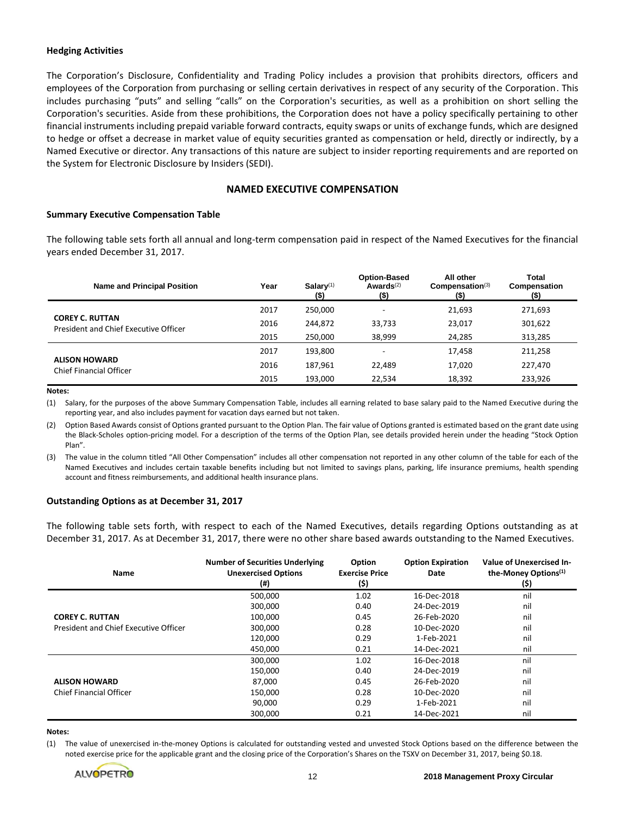#### **Hedging Activities**

The Corporation's Disclosure, Confidentiality and Trading Policy includes a provision that prohibits directors, officers and employees of the Corporation from purchasing or selling certain derivatives in respect of any security of the Corporation. This includes purchasing "puts" and selling "calls" on the Corporation's securities, as well as a prohibition on short selling the Corporation's securities. Aside from these prohibitions, the Corporation does not have a policy specifically pertaining to other financial instruments including prepaid variable forward contracts, equity swaps or units of exchange funds, which are designed to hedge or offset a decrease in market value of equity securities granted as compensation or held, directly or indirectly, by a Named Executive or director. Any transactions of this nature are subject to insider reporting requirements and are reported on the System for Electronic Disclosure by Insiders (SEDI).

## **NAMED EXECUTIVE COMPENSATION**

#### **Summary Executive Compensation Table**

The following table sets forth all annual and long-term compensation paid in respect of the Named Executives for the financial years ended December 31, 2017.

| <b>Name and Principal Position</b>                              | Year | $Salarv^{(1)}$<br><u>(\$)</u> | <b>Option-Based</b><br>Awards $(2)$<br>$($ \$) | All other<br>Compensation <sup>(3)</sup><br>$($ \$) | Total<br>Compensation<br>(\$) |
|-----------------------------------------------------------------|------|-------------------------------|------------------------------------------------|-----------------------------------------------------|-------------------------------|
|                                                                 | 2017 | 250,000                       | ۰                                              | 21,693                                              | 271,693                       |
| <b>COREY C. RUTTAN</b><br>President and Chief Executive Officer | 2016 | 244.872                       | 33,733                                         | 23,017                                              | 301,622                       |
|                                                                 | 2015 | 250,000                       | 38,999                                         | 24,285                                              | 313,285                       |
|                                                                 | 2017 | 193,800                       | $\overline{\phantom{0}}$                       | 17,458                                              | 211,258                       |
| <b>ALISON HOWARD</b><br>Chief Financial Officer                 | 2016 | 187.961                       | 22.489                                         | 17,020                                              | 227,470                       |
|                                                                 | 2015 | 193,000                       | 22.534                                         | 18,392                                              | 233,926                       |

#### **Notes:**

(1) Salary, for the purposes of the above Summary Compensation Table, includes all earning related to base salary paid to the Named Executive during the reporting year, and also includes payment for vacation days earned but not taken.

(2) Option Based Awards consist of Options granted pursuant to the Option Plan. The fair value of Options granted is estimated based on the grant date using the Black-Scholes option-pricing model. For a description of the terms of the Option Plan, see details provided herein under the heading "Stock Option Plan".

(3) The value in the column titled "All Other Compensation" includes all other compensation not reported in any other column of the table for each of the Named Executives and includes certain taxable benefits including but not limited to savings plans, parking, life insurance premiums, health spending account and fitness reimbursements, and additional health insurance plans.

#### **Outstanding Options as at December 31, 2017**

The following table sets forth, with respect to each of the Named Executives, details regarding Options outstanding as at December 31, 2017. As at December 31, 2017, there were no other share based awards outstanding to the Named Executives.

| Name                                  | <b>Number of Securities Underlying</b><br><b>Unexercised Options</b><br>$^{(ii)}$ | Option<br><b>Exercise Price</b><br>(\$) | <b>Option Expiration</b><br>Date | Value of Unexercised In-<br>the-Money Options <sup>(1)</sup><br>(\$) |
|---------------------------------------|-----------------------------------------------------------------------------------|-----------------------------------------|----------------------------------|----------------------------------------------------------------------|
|                                       | 500,000                                                                           | 1.02                                    | 16-Dec-2018                      | nil                                                                  |
|                                       | 300,000                                                                           | 0.40                                    | 24-Dec-2019                      | nil                                                                  |
| <b>COREY C. RUTTAN</b>                | 100,000                                                                           | 0.45                                    | 26-Feb-2020                      | nil                                                                  |
| President and Chief Executive Officer | 300,000                                                                           | 0.28                                    | 10-Dec-2020                      | nil                                                                  |
|                                       | 120,000                                                                           | 0.29                                    | 1-Feb-2021                       | nil                                                                  |
|                                       | 450.000                                                                           | 0.21                                    | 14-Dec-2021                      | nil                                                                  |
|                                       | 300,000                                                                           | 1.02                                    | 16-Dec-2018                      | nil                                                                  |
|                                       | 150,000                                                                           | 0.40                                    | 24-Dec-2019                      | nil                                                                  |
| <b>ALISON HOWARD</b>                  | 87,000                                                                            | 0.45                                    | 26-Feb-2020                      | nil                                                                  |
| <b>Chief Financial Officer</b>        | 150,000                                                                           | 0.28                                    | 10-Dec-2020                      | nil                                                                  |
|                                       | 90,000                                                                            | 0.29                                    | 1-Feb-2021                       | nil                                                                  |
|                                       | 300.000                                                                           | 0.21                                    | 14-Dec-2021                      | nil                                                                  |

#### **Notes:**

(1) The value of unexercised in-the-money Options is calculated for outstanding vested and unvested Stock Options based on the difference between the noted exercise price for the applicable grant and the closing price of the Corporation's Shares on the TSXV on December 31, 2017, being \$0.18.

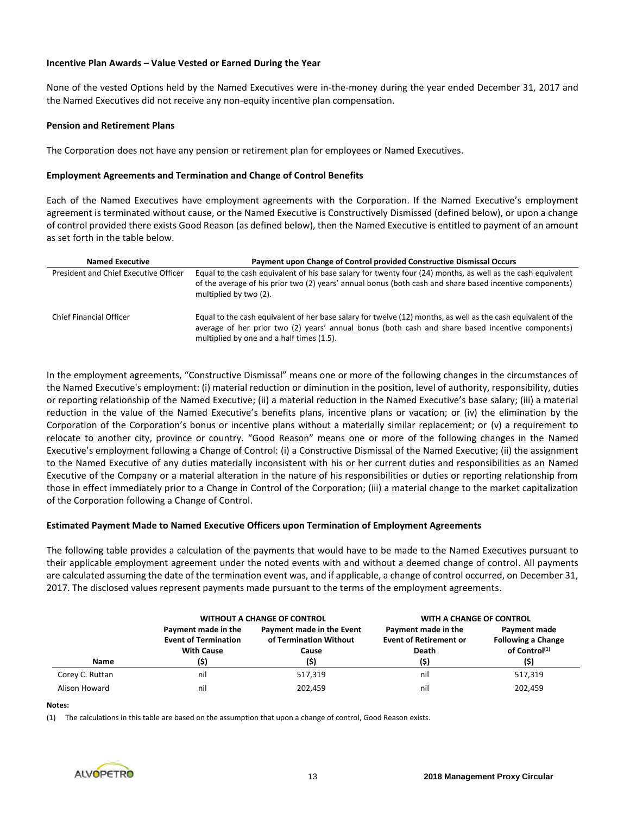## **Incentive Plan Awards – Value Vested or Earned During the Year**

None of the vested Options held by the Named Executives were in-the-money during the year ended December 31, 2017 and the Named Executives did not receive any non-equity incentive plan compensation.

#### **Pension and Retirement Plans**

The Corporation does not have any pension or retirement plan for employees or Named Executives.

## **Employment Agreements and Termination and Change of Control Benefits**

Each of the Named Executives have employment agreements with the Corporation. If the Named Executive's employment agreement is terminated without cause, or the Named Executive is Constructively Dismissed (defined below), or upon a change of control provided there exists Good Reason (as defined below), then the Named Executive is entitled to payment of an amount as set forth in the table below.

| <b>Named Executive</b>                | Payment upon Change of Control provided Constructive Dismissal Occurs                                                                                                                                                                                           |
|---------------------------------------|-----------------------------------------------------------------------------------------------------------------------------------------------------------------------------------------------------------------------------------------------------------------|
| President and Chief Executive Officer | Equal to the cash equivalent of his base salary for twenty four (24) months, as well as the cash equivalent<br>of the average of his prior two (2) years' annual bonus (both cash and share based incentive components)<br>multiplied by two (2).               |
| Chief Financial Officer               | Equal to the cash equivalent of her base salary for twelve (12) months, as well as the cash equivalent of the<br>average of her prior two (2) years' annual bonus (both cash and share based incentive components)<br>multiplied by one and a half times (1.5). |

In the employment agreements, "Constructive Dismissal" means one or more of the following changes in the circumstances of the Named Executive's employment: (i) material reduction or diminution in the position, level of authority, responsibility, duties or reporting relationship of the Named Executive; (ii) a material reduction in the Named Executive's base salary; (iii) a material reduction in the value of the Named Executive's benefits plans, incentive plans or vacation; or (iv) the elimination by the Corporation of the Corporation's bonus or incentive plans without a materially similar replacement; or (v) a requirement to relocate to another city, province or country. "Good Reason" means one or more of the following changes in the Named Executive's employment following a Change of Control: (i) a Constructive Dismissal of the Named Executive; (ii) the assignment to the Named Executive of any duties materially inconsistent with his or her current duties and responsibilities as an Named Executive of the Company or a material alteration in the nature of his responsibilities or duties or reporting relationship from those in effect immediately prior to a Change in Control of the Corporation; (iii) a material change to the market capitalization of the Corporation following a Change of Control.

#### **Estimated Payment Made to Named Executive Officers upon Termination of Employment Agreements**

The following table provides a calculation of the payments that would have to be made to the Named Executives pursuant to their applicable employment agreement under the noted events with and without a deemed change of control. All payments are calculated assuming the date of the termination event was, and if applicable, a change of control occurred, on December 31, 2017. The disclosed values represent payments made pursuant to the terms of the employment agreements.

|                 |                                                                                 | <b>WITHOUT A CHANGE OF CONTROL</b>                                   | WITH A CHANGE OF CONTROL                                                     |                                                                                |
|-----------------|---------------------------------------------------------------------------------|----------------------------------------------------------------------|------------------------------------------------------------------------------|--------------------------------------------------------------------------------|
| Name            | Payment made in the<br><b>Event of Termination</b><br><b>With Cause</b><br>(\$) | Payment made in the Event<br>of Termination Without<br>Cause<br>(\$) | Payment made in the<br><b>Event of Retirement or</b><br><b>Death</b><br>(\$) | Payment made<br><b>Following a Change</b><br>of Control <sup>(1)</sup><br>(\$) |
| Corey C. Ruttan | nil                                                                             | 517,319                                                              | nil                                                                          | 517,319                                                                        |
| Alison Howard   | nil                                                                             | 202.459                                                              | nil                                                                          | 202.459                                                                        |

#### **Notes:**

(1) The calculations in this table are based on the assumption that upon a change of control, Good Reason exists.

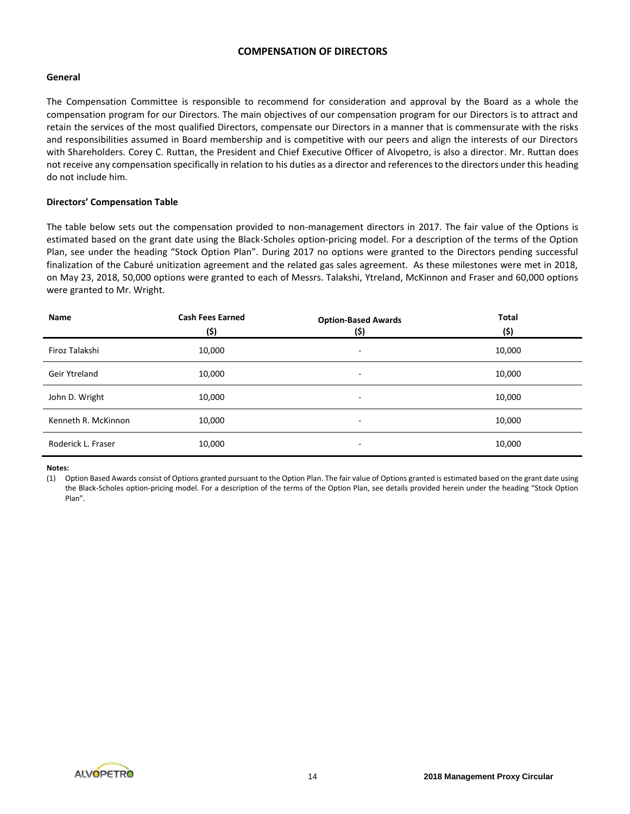## **COMPENSATION OF DIRECTORS**

## **General**

The Compensation Committee is responsible to recommend for consideration and approval by the Board as a whole the compensation program for our Directors. The main objectives of our compensation program for our Directors is to attract and retain the services of the most qualified Directors, compensate our Directors in a manner that is commensurate with the risks and responsibilities assumed in Board membership and is competitive with our peers and align the interests of our Directors with Shareholders. Corey C. Ruttan, the President and Chief Executive Officer of Alvopetro, is also a director. Mr. Ruttan does not receive any compensation specifically in relation to his duties as a director and references to the directors under this heading do not include him.

## **Directors' Compensation Table**

The table below sets out the compensation provided to non-management directors in 2017. The fair value of the Options is estimated based on the grant date using the Black-Scholes option-pricing model. For a description of the terms of the Option Plan, see under the heading "Stock Option Plan". During 2017 no options were granted to the Directors pending successful finalization of the Caburé unitization agreement and the related gas sales agreement. As these milestones were met in 2018, on May 23, 2018, 50,000 options were granted to each of Messrs. Talakshi, Ytreland, McKinnon and Fraser and 60,000 options were granted to Mr. Wright.

| Name                | <b>Cash Fees Earned</b><br>(\$) | <b>Option-Based Awards</b><br>(\$) | <b>Total</b><br>(\$) |
|---------------------|---------------------------------|------------------------------------|----------------------|
| Firoz Talakshi      | 10,000                          | ۰                                  | 10,000               |
| Geir Ytreland       | 10,000                          |                                    | 10,000               |
| John D. Wright      | 10,000                          | ۰                                  | 10,000               |
| Kenneth R. McKinnon | 10,000                          | ۰                                  | 10,000               |
| Roderick L. Fraser  | 10,000                          | $\overline{\phantom{a}}$           | 10,000               |

#### **Notes:**

(1) Option Based Awards consist of Options granted pursuant to the Option Plan. The fair value of Options granted is estimated based on the grant date using the Black-Scholes option-pricing model. For a description of the terms of the Option Plan, see details provided herein under the heading "Stock Option Plan".

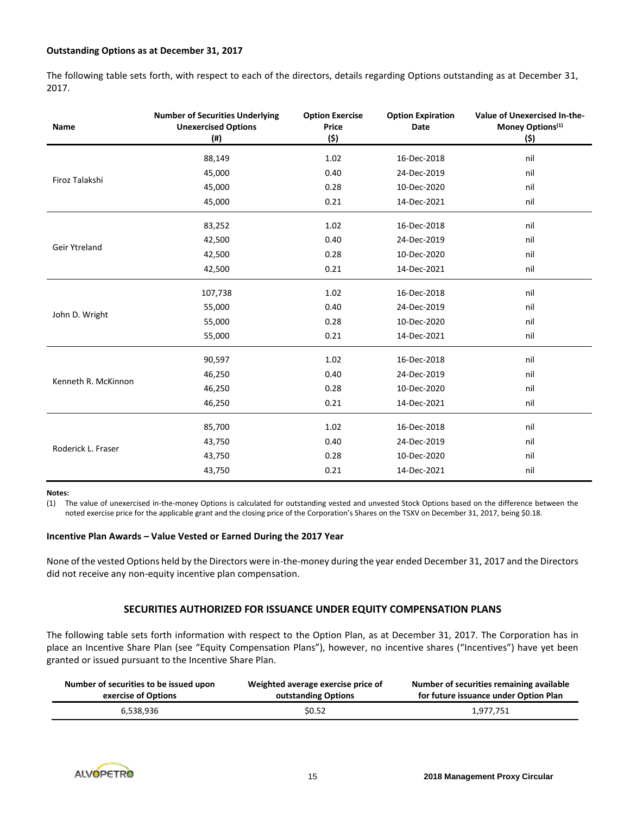## **Outstanding Options as at December 31, 2017**

The following table sets forth, with respect to each of the directors, details regarding Options outstanding as at December 31, 2017.

| <b>Name</b>         | <b>Number of Securities Underlying</b><br><b>Unexercised Options</b><br>$($ #) | <b>Option Exercise</b><br>Price<br>(\$) | <b>Option Expiration</b><br><b>Date</b> | Value of Unexercised In-the-<br>Money Options <sup>(1)</sup><br>(\$) |
|---------------------|--------------------------------------------------------------------------------|-----------------------------------------|-----------------------------------------|----------------------------------------------------------------------|
|                     | 88,149                                                                         | 1.02                                    | 16-Dec-2018                             | nil                                                                  |
|                     | 45,000                                                                         | 0.40                                    | 24-Dec-2019                             | nil                                                                  |
| Firoz Talakshi      | 45,000                                                                         | 0.28                                    | 10-Dec-2020                             | nil                                                                  |
|                     | 45,000                                                                         | 0.21                                    | 14-Dec-2021                             | nil                                                                  |
|                     | 83,252                                                                         | 1.02                                    | 16-Dec-2018                             | nil                                                                  |
|                     | 42,500                                                                         | 0.40                                    | 24-Dec-2019                             | nil                                                                  |
| Geir Ytreland       | 42,500                                                                         | 0.28                                    | 10-Dec-2020                             | nil                                                                  |
|                     | 42,500                                                                         | 0.21                                    | 14-Dec-2021                             | nil                                                                  |
|                     | 107,738                                                                        | 1.02                                    | 16-Dec-2018                             | nil                                                                  |
|                     | 55,000                                                                         | 0.40                                    | 24-Dec-2019                             | nil                                                                  |
| John D. Wright      | 55,000                                                                         | 0.28                                    | 10-Dec-2020                             | nil                                                                  |
|                     | 55,000                                                                         | 0.21                                    | 14-Dec-2021                             | nil                                                                  |
|                     | 90,597                                                                         | 1.02                                    | 16-Dec-2018                             | nil                                                                  |
|                     | 46,250                                                                         | 0.40                                    | 24-Dec-2019                             | nil                                                                  |
| Kenneth R. McKinnon | 46,250                                                                         | 0.28                                    | 10-Dec-2020                             | nil                                                                  |
|                     | 46,250                                                                         | 0.21                                    | 14-Dec-2021                             | nil                                                                  |
|                     | 85,700                                                                         | 1.02                                    | 16-Dec-2018                             | nil                                                                  |
|                     | 43,750                                                                         | 0.40                                    | 24-Dec-2019                             | nil                                                                  |
| Roderick L. Fraser  | 43,750                                                                         | 0.28                                    | 10-Dec-2020                             | nil                                                                  |
|                     | 43,750                                                                         | 0.21                                    | 14-Dec-2021                             | nil                                                                  |
|                     |                                                                                |                                         |                                         |                                                                      |

#### **Notes:**

(1) The value of unexercised in-the-money Options is calculated for outstanding vested and unvested Stock Options based on the difference between the noted exercise price for the applicable grant and the closing price of the Corporation's Shares on the TSXV on December 31, 2017, being \$0.18.

#### **Incentive Plan Awards – Value Vested or Earned During the 2017 Year**

None of the vested Options held by the Directors were in-the-money during the year ended December 31, 2017 and the Directors did not receive any non-equity incentive plan compensation.

## **SECURITIES AUTHORIZED FOR ISSUANCE UNDER EQUITY COMPENSATION PLANS**

The following table sets forth information with respect to the Option Plan, as at December 31, 2017. The Corporation has in place an Incentive Share Plan (see "Equity Compensation Plans"), however, no incentive shares ("Incentives") have yet been granted or issued pursuant to the Incentive Share Plan.

| Number of securities to be issued upon | Weighted average exercise price of | Number of securities remaining available |
|----------------------------------------|------------------------------------|------------------------------------------|
| exercise of Options                    | outstanding Options                | for future issuance under Option Plan    |
| 6,538,936                              | \$0.52                             | 1.977.751                                |

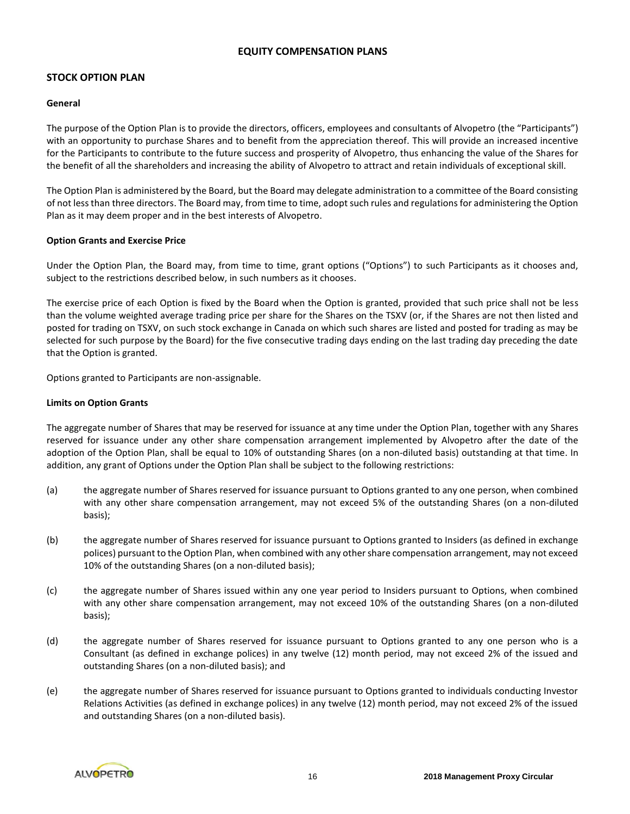## **EQUITY COMPENSATION PLANS**

## **STOCK OPTION PLAN**

#### **General**

The purpose of the Option Plan is to provide the directors, officers, employees and consultants of Alvopetro (the "Participants") with an opportunity to purchase Shares and to benefit from the appreciation thereof. This will provide an increased incentive for the Participants to contribute to the future success and prosperity of Alvopetro, thus enhancing the value of the Shares for the benefit of all the shareholders and increasing the ability of Alvopetro to attract and retain individuals of exceptional skill.

The Option Plan is administered by the Board, but the Board may delegate administration to a committee of the Board consisting of not less than three directors. The Board may, from time to time, adopt such rules and regulations for administering the Option Plan as it may deem proper and in the best interests of Alvopetro.

## **Option Grants and Exercise Price**

Under the Option Plan, the Board may, from time to time, grant options ("Options") to such Participants as it chooses and, subject to the restrictions described below, in such numbers as it chooses.

The exercise price of each Option is fixed by the Board when the Option is granted, provided that such price shall not be less than the volume weighted average trading price per share for the Shares on the TSXV (or, if the Shares are not then listed and posted for trading on TSXV, on such stock exchange in Canada on which such shares are listed and posted for trading as may be selected for such purpose by the Board) for the five consecutive trading days ending on the last trading day preceding the date that the Option is granted.

Options granted to Participants are non-assignable.

## **Limits on Option Grants**

The aggregate number of Shares that may be reserved for issuance at any time under the Option Plan, together with any Shares reserved for issuance under any other share compensation arrangement implemented by Alvopetro after the date of the adoption of the Option Plan, shall be equal to 10% of outstanding Shares (on a non-diluted basis) outstanding at that time. In addition, any grant of Options under the Option Plan shall be subject to the following restrictions:

- (a) the aggregate number of Shares reserved for issuance pursuant to Options granted to any one person, when combined with any other share compensation arrangement, may not exceed 5% of the outstanding Shares (on a non-diluted basis);
- (b) the aggregate number of Shares reserved for issuance pursuant to Options granted to Insiders (as defined in exchange polices) pursuant to the Option Plan, when combined with any other share compensation arrangement, may not exceed 10% of the outstanding Shares (on a non-diluted basis);
- (c) the aggregate number of Shares issued within any one year period to Insiders pursuant to Options, when combined with any other share compensation arrangement, may not exceed 10% of the outstanding Shares (on a non-diluted basis);
- (d) the aggregate number of Shares reserved for issuance pursuant to Options granted to any one person who is a Consultant (as defined in exchange polices) in any twelve (12) month period, may not exceed 2% of the issued and outstanding Shares (on a non-diluted basis); and
- (e) the aggregate number of Shares reserved for issuance pursuant to Options granted to individuals conducting Investor Relations Activities (as defined in exchange polices) in any twelve (12) month period, may not exceed 2% of the issued and outstanding Shares (on a non-diluted basis).

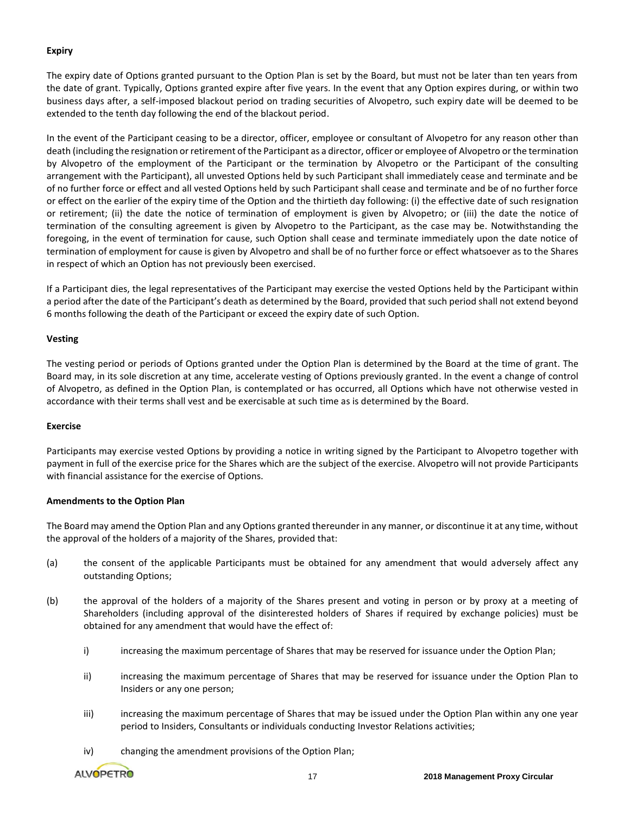## **Expiry**

The expiry date of Options granted pursuant to the Option Plan is set by the Board, but must not be later than ten years from the date of grant. Typically, Options granted expire after five years. In the event that any Option expires during, or within two business days after, a self-imposed blackout period on trading securities of Alvopetro, such expiry date will be deemed to be extended to the tenth day following the end of the blackout period.

In the event of the Participant ceasing to be a director, officer, employee or consultant of Alvopetro for any reason other than death (including the resignation or retirement of the Participant as a director, officer or employee of Alvopetro or the termination by Alvopetro of the employment of the Participant or the termination by Alvopetro or the Participant of the consulting arrangement with the Participant), all unvested Options held by such Participant shall immediately cease and terminate and be of no further force or effect and all vested Options held by such Participant shall cease and terminate and be of no further force or effect on the earlier of the expiry time of the Option and the thirtieth day following: (i) the effective date of such resignation or retirement; (ii) the date the notice of termination of employment is given by Alvopetro; or (iii) the date the notice of termination of the consulting agreement is given by Alvopetro to the Participant, as the case may be. Notwithstanding the foregoing, in the event of termination for cause, such Option shall cease and terminate immediately upon the date notice of termination of employment for cause is given by Alvopetro and shall be of no further force or effect whatsoever as to the Shares in respect of which an Option has not previously been exercised.

If a Participant dies, the legal representatives of the Participant may exercise the vested Options held by the Participant within a period after the date of the Participant's death as determined by the Board, provided that such period shall not extend beyond 6 months following the death of the Participant or exceed the expiry date of such Option.

## **Vesting**

The vesting period or periods of Options granted under the Option Plan is determined by the Board at the time of grant. The Board may, in its sole discretion at any time, accelerate vesting of Options previously granted. In the event a change of control of Alvopetro, as defined in the Option Plan, is contemplated or has occurred, all Options which have not otherwise vested in accordance with their terms shall vest and be exercisable at such time as is determined by the Board.

#### **Exercise**

Participants may exercise vested Options by providing a notice in writing signed by the Participant to Alvopetro together with payment in full of the exercise price for the Shares which are the subject of the exercise. Alvopetro will not provide Participants with financial assistance for the exercise of Options.

## **Amendments to the Option Plan**

The Board may amend the Option Plan and any Options granted thereunder in any manner, or discontinue it at any time, without the approval of the holders of a majority of the Shares, provided that:

- (a) the consent of the applicable Participants must be obtained for any amendment that would adversely affect any outstanding Options;
- (b) the approval of the holders of a majority of the Shares present and voting in person or by proxy at a meeting of Shareholders (including approval of the disinterested holders of Shares if required by exchange policies) must be obtained for any amendment that would have the effect of:
	- i) increasing the maximum percentage of Shares that may be reserved for issuance under the Option Plan;
	- ii) increasing the maximum percentage of Shares that may be reserved for issuance under the Option Plan to Insiders or any one person;
	- iii) increasing the maximum percentage of Shares that may be issued under the Option Plan within any one year period to Insiders, Consultants or individuals conducting Investor Relations activities;
	- iv) changing the amendment provisions of the Option Plan;

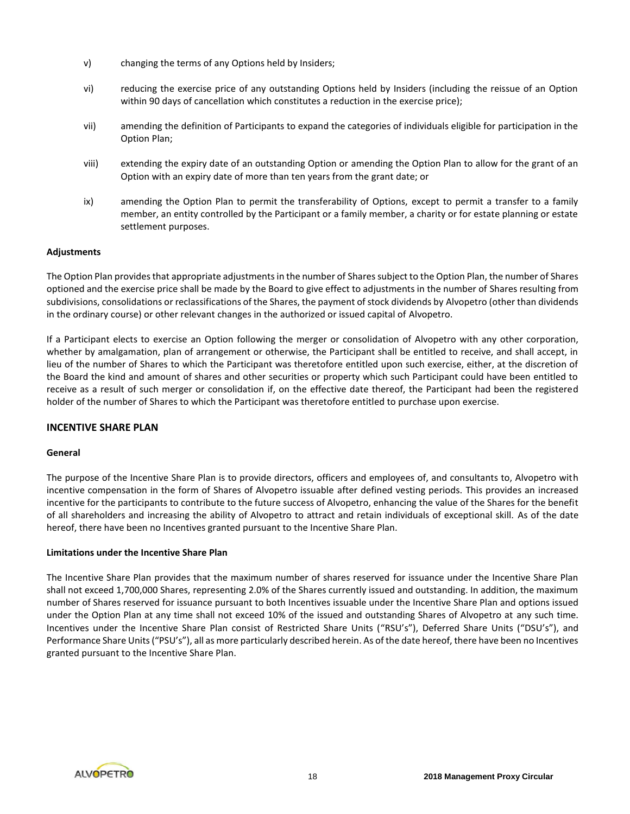- v) changing the terms of any Options held by Insiders;
- vi) reducing the exercise price of any outstanding Options held by Insiders (including the reissue of an Option within 90 days of cancellation which constitutes a reduction in the exercise price);
- vii) amending the definition of Participants to expand the categories of individuals eligible for participation in the Option Plan;
- viii) extending the expiry date of an outstanding Option or amending the Option Plan to allow for the grant of an Option with an expiry date of more than ten years from the grant date; or
- ix) amending the Option Plan to permit the transferability of Options, except to permit a transfer to a family member, an entity controlled by the Participant or a family member, a charity or for estate planning or estate settlement purposes.

## **Adjustments**

The Option Plan provides that appropriate adjustments in the number of Sharessubject to the Option Plan, the number of Shares optioned and the exercise price shall be made by the Board to give effect to adjustments in the number of Shares resulting from subdivisions, consolidations or reclassifications of the Shares, the payment of stock dividends by Alvopetro (other than dividends in the ordinary course) or other relevant changes in the authorized or issued capital of Alvopetro.

If a Participant elects to exercise an Option following the merger or consolidation of Alvopetro with any other corporation, whether by amalgamation, plan of arrangement or otherwise, the Participant shall be entitled to receive, and shall accept, in lieu of the number of Shares to which the Participant was theretofore entitled upon such exercise, either, at the discretion of the Board the kind and amount of shares and other securities or property which such Participant could have been entitled to receive as a result of such merger or consolidation if, on the effective date thereof, the Participant had been the registered holder of the number of Shares to which the Participant was theretofore entitled to purchase upon exercise.

#### **INCENTIVE SHARE PLAN**

#### **General**

The purpose of the Incentive Share Plan is to provide directors, officers and employees of, and consultants to, Alvopetro with incentive compensation in the form of Shares of Alvopetro issuable after defined vesting periods. This provides an increased incentive for the participants to contribute to the future success of Alvopetro, enhancing the value of the Shares for the benefit of all shareholders and increasing the ability of Alvopetro to attract and retain individuals of exceptional skill. As of the date hereof, there have been no Incentives granted pursuant to the Incentive Share Plan.

#### **Limitations under the Incentive Share Plan**

The Incentive Share Plan provides that the maximum number of shares reserved for issuance under the Incentive Share Plan shall not exceed 1,700,000 Shares, representing 2.0% of the Shares currently issued and outstanding. In addition, the maximum number of Shares reserved for issuance pursuant to both Incentives issuable under the Incentive Share Plan and options issued under the Option Plan at any time shall not exceed 10% of the issued and outstanding Shares of Alvopetro at any such time. Incentives under the Incentive Share Plan consist of Restricted Share Units ("RSU's"), Deferred Share Units ("DSU's"), and Performance Share Units ("PSU's"), all as more particularly described herein. As of the date hereof, there have been no Incentives granted pursuant to the Incentive Share Plan.

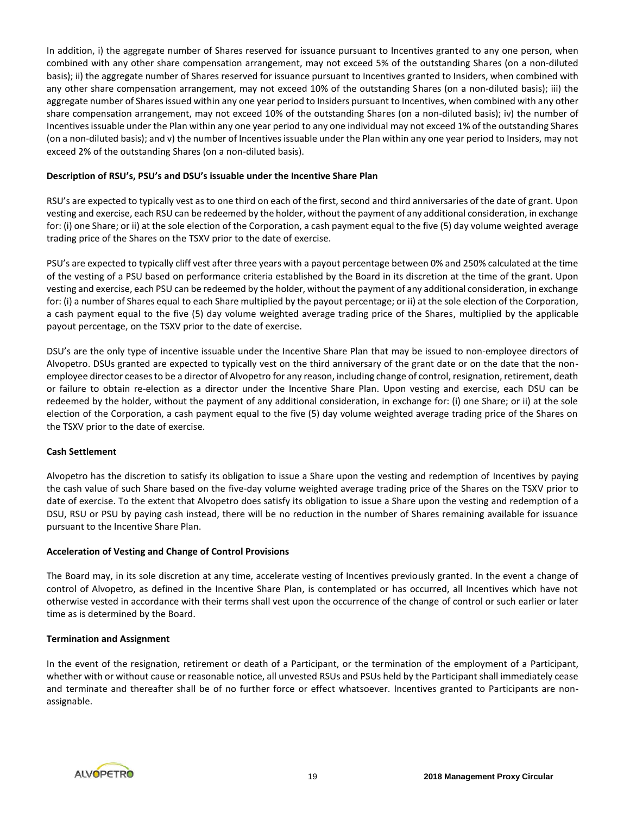In addition, i) the aggregate number of Shares reserved for issuance pursuant to Incentives granted to any one person, when combined with any other share compensation arrangement, may not exceed 5% of the outstanding Shares (on a non-diluted basis); ii) the aggregate number of Shares reserved for issuance pursuant to Incentives granted to Insiders, when combined with any other share compensation arrangement, may not exceed 10% of the outstanding Shares (on a non-diluted basis); iii) the aggregate number of Shares issued within any one year period to Insiders pursuant to Incentives, when combined with any other share compensation arrangement, may not exceed 10% of the outstanding Shares (on a non-diluted basis); iv) the number of Incentives issuable under the Plan within any one year period to any one individual may not exceed 1% of the outstanding Shares (on a non-diluted basis); and v) the number of Incentives issuable under the Plan within any one year period to Insiders, may not exceed 2% of the outstanding Shares (on a non-diluted basis).

## **Description of RSU's, PSU's and DSU's issuable under the Incentive Share Plan**

RSU's are expected to typically vest as to one third on each of the first, second and third anniversaries of the date of grant. Upon vesting and exercise, each RSU can be redeemed by the holder, without the payment of any additional consideration, in exchange for: (i) one Share; or ii) at the sole election of the Corporation, a cash payment equal to the five (5) day volume weighted average trading price of the Shares on the TSXV prior to the date of exercise.

PSU's are expected to typically cliff vest after three years with a payout percentage between 0% and 250% calculated at the time of the vesting of a PSU based on performance criteria established by the Board in its discretion at the time of the grant. Upon vesting and exercise, each PSU can be redeemed by the holder, without the payment of any additional consideration, in exchange for: (i) a number of Shares equal to each Share multiplied by the payout percentage; or ii) at the sole election of the Corporation, a cash payment equal to the five (5) day volume weighted average trading price of the Shares, multiplied by the applicable payout percentage, on the TSXV prior to the date of exercise.

DSU's are the only type of incentive issuable under the Incentive Share Plan that may be issued to non-employee directors of Alvopetro. DSUs granted are expected to typically vest on the third anniversary of the grant date or on the date that the nonemployee director ceases to be a director of Alvopetro for any reason, including change of control, resignation, retirement, death or failure to obtain re-election as a director under the Incentive Share Plan. Upon vesting and exercise, each DSU can be redeemed by the holder, without the payment of any additional consideration, in exchange for: (i) one Share; or ii) at the sole election of the Corporation, a cash payment equal to the five (5) day volume weighted average trading price of the Shares on the TSXV prior to the date of exercise.

#### **Cash Settlement**

Alvopetro has the discretion to satisfy its obligation to issue a Share upon the vesting and redemption of Incentives by paying the cash value of such Share based on the five-day volume weighted average trading price of the Shares on the TSXV prior to date of exercise. To the extent that Alvopetro does satisfy its obligation to issue a Share upon the vesting and redemption of a DSU, RSU or PSU by paying cash instead, there will be no reduction in the number of Shares remaining available for issuance pursuant to the Incentive Share Plan.

#### **Acceleration of Vesting and Change of Control Provisions**

The Board may, in its sole discretion at any time, accelerate vesting of Incentives previously granted. In the event a change of control of Alvopetro, as defined in the Incentive Share Plan, is contemplated or has occurred, all Incentives which have not otherwise vested in accordance with their terms shall vest upon the occurrence of the change of control or such earlier or later time as is determined by the Board.

#### **Termination and Assignment**

In the event of the resignation, retirement or death of a Participant, or the termination of the employment of a Participant, whether with or without cause or reasonable notice, all unvested RSUs and PSUs held by the Participant shall immediately cease and terminate and thereafter shall be of no further force or effect whatsoever. Incentives granted to Participants are nonassignable.

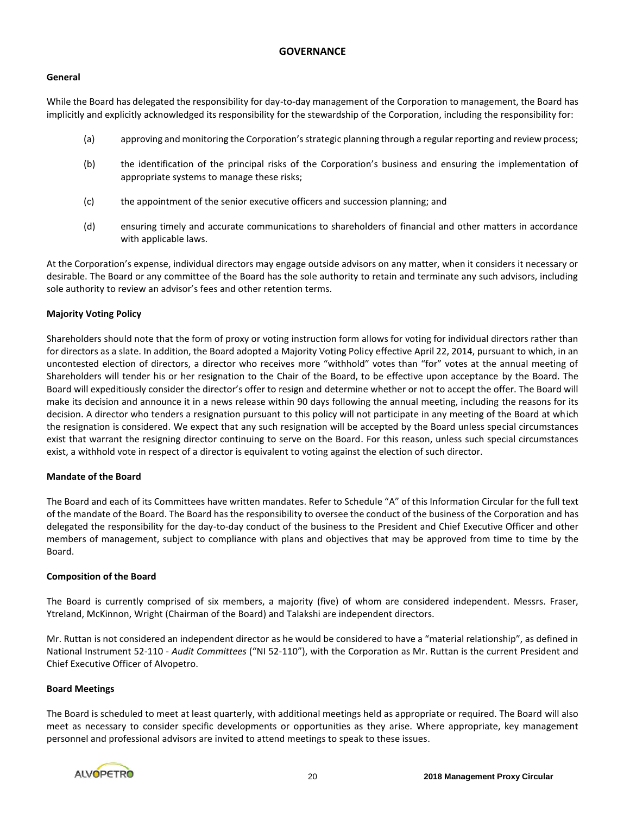## **GOVERNANCE**

#### **General**

While the Board has delegated the responsibility for day-to-day management of the Corporation to management, the Board has implicitly and explicitly acknowledged its responsibility for the stewardship of the Corporation, including the responsibility for:

- (a) approving and monitoring the Corporation's strategic planning through a regular reporting and review process;
- (b) the identification of the principal risks of the Corporation's business and ensuring the implementation of appropriate systems to manage these risks;
- (c) the appointment of the senior executive officers and succession planning; and
- (d) ensuring timely and accurate communications to shareholders of financial and other matters in accordance with applicable laws.

At the Corporation's expense, individual directors may engage outside advisors on any matter, when it considers it necessary or desirable. The Board or any committee of the Board has the sole authority to retain and terminate any such advisors, including sole authority to review an advisor's fees and other retention terms.

## **Majority Voting Policy**

Shareholders should note that the form of proxy or voting instruction form allows for voting for individual directors rather than for directors as a slate. In addition, the Board adopted a Majority Voting Policy effective April 22, 2014, pursuant to which, in an uncontested election of directors, a director who receives more "withhold" votes than "for" votes at the annual meeting of Shareholders will tender his or her resignation to the Chair of the Board, to be effective upon acceptance by the Board. The Board will expeditiously consider the director's offer to resign and determine whether or not to accept the offer. The Board will make its decision and announce it in a news release within 90 days following the annual meeting, including the reasons for its decision. A director who tenders a resignation pursuant to this policy will not participate in any meeting of the Board at which the resignation is considered. We expect that any such resignation will be accepted by the Board unless special circumstances exist that warrant the resigning director continuing to serve on the Board. For this reason, unless such special circumstances exist, a withhold vote in respect of a director is equivalent to voting against the election of such director.

## **Mandate of the Board**

The Board and each of its Committees have written mandates. Refer to Schedule "A" of this Information Circular for the full text of the mandate of the Board. The Board has the responsibility to oversee the conduct of the business of the Corporation and has delegated the responsibility for the day-to-day conduct of the business to the President and Chief Executive Officer and other members of management, subject to compliance with plans and objectives that may be approved from time to time by the Board.

## **Composition of the Board**

The Board is currently comprised of six members, a majority (five) of whom are considered independent. Messrs. Fraser, Ytreland, McKinnon, Wright (Chairman of the Board) and Talakshi are independent directors.

Mr. Ruttan is not considered an independent director as he would be considered to have a "material relationship", as defined in National Instrument 52-110 - *Audit Committees* ("NI 52-110"), with the Corporation as Mr. Ruttan is the current President and Chief Executive Officer of Alvopetro.

#### **Board Meetings**

The Board is scheduled to meet at least quarterly, with additional meetings held as appropriate or required. The Board will also meet as necessary to consider specific developments or opportunities as they arise. Where appropriate, key management personnel and professional advisors are invited to attend meetings to speak to these issues.

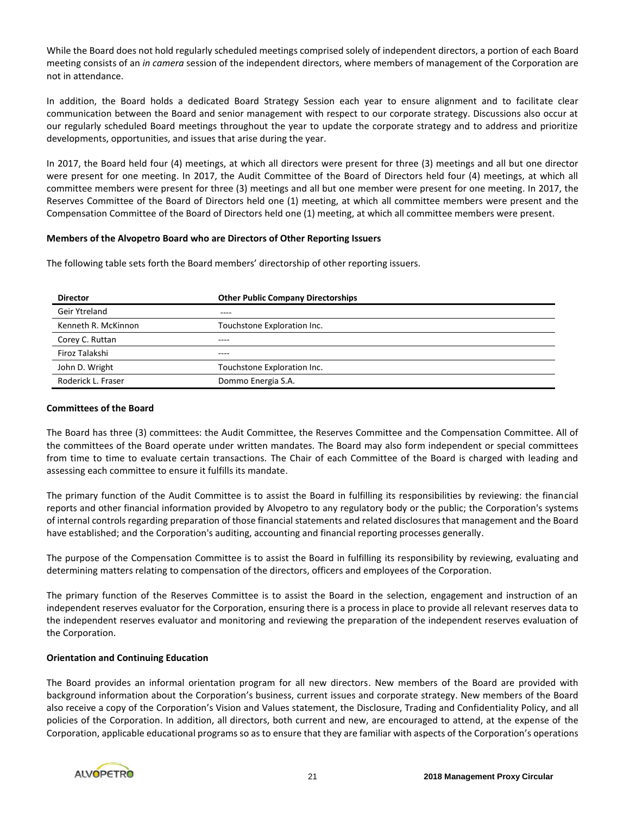While the Board does not hold regularly scheduled meetings comprised solely of independent directors, a portion of each Board meeting consists of an *in camera* session of the independent directors, where members of management of the Corporation are not in attendance.

In addition, the Board holds a dedicated Board Strategy Session each year to ensure alignment and to facilitate clear communication between the Board and senior management with respect to our corporate strategy. Discussions also occur at our regularly scheduled Board meetings throughout the year to update the corporate strategy and to address and prioritize developments, opportunities, and issues that arise during the year.

In 2017, the Board held four (4) meetings, at which all directors were present for three (3) meetings and all but one director were present for one meeting. In 2017, the Audit Committee of the Board of Directors held four (4) meetings, at which all committee members were present for three (3) meetings and all but one member were present for one meeting. In 2017, the Reserves Committee of the Board of Directors held one (1) meeting, at which all committee members were present and the Compensation Committee of the Board of Directors held one (1) meeting, at which all committee members were present.

#### **Members of the Alvopetro Board who are Directors of Other Reporting Issuers**

The following table sets forth the Board members' directorship of other reporting issuers.

| <b>Director</b>     | <b>Other Public Company Directorships</b> |
|---------------------|-------------------------------------------|
| Geir Ytreland       | $- - - -$                                 |
| Kenneth R. McKinnon | Touchstone Exploration Inc.               |
| Corey C. Ruttan     | ----                                      |
| Firoz Talakshi      | ----                                      |
| John D. Wright      | Touchstone Exploration Inc.               |
| Roderick L. Fraser  | Dommo Energia S.A.                        |

#### **Committees of the Board**

The Board has three (3) committees: the Audit Committee, the Reserves Committee and the Compensation Committee. All of the committees of the Board operate under written mandates. The Board may also form independent or special committees from time to time to evaluate certain transactions. The Chair of each Committee of the Board is charged with leading and assessing each committee to ensure it fulfills its mandate.

The primary function of the Audit Committee is to assist the Board in fulfilling its responsibilities by reviewing: the financial reports and other financial information provided by Alvopetro to any regulatory body or the public; the Corporation's systems of internal controls regarding preparation of those financial statements and related disclosures that management and the Board have established; and the Corporation's auditing, accounting and financial reporting processes generally.

The purpose of the Compensation Committee is to assist the Board in fulfilling its responsibility by reviewing, evaluating and determining matters relating to compensation of the directors, officers and employees of the Corporation.

The primary function of the Reserves Committee is to assist the Board in the selection, engagement and instruction of an independent reserves evaluator for the Corporation, ensuring there is a process in place to provide all relevant reserves data to the independent reserves evaluator and monitoring and reviewing the preparation of the independent reserves evaluation of the Corporation.

#### **Orientation and Continuing Education**

The Board provides an informal orientation program for all new directors. New members of the Board are provided with background information about the Corporation's business, current issues and corporate strategy. New members of the Board also receive a copy of the Corporation's Vision and Values statement, the Disclosure, Trading and Confidentiality Policy, and all policies of the Corporation. In addition, all directors, both current and new, are encouraged to attend, at the expense of the Corporation, applicable educational programs so as to ensure that they are familiar with aspects of the Corporation's operations

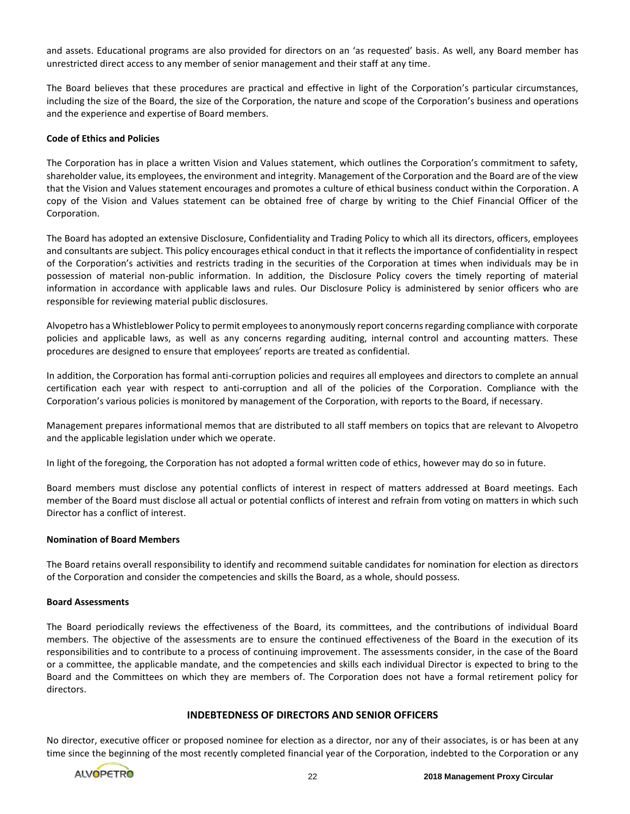and assets. Educational programs are also provided for directors on an 'as requested' basis. As well, any Board member has unrestricted direct access to any member of senior management and their staff at any time.

The Board believes that these procedures are practical and effective in light of the Corporation's particular circumstances, including the size of the Board, the size of the Corporation, the nature and scope of the Corporation's business and operations and the experience and expertise of Board members.

## **Code of Ethics and Policies**

The Corporation has in place a written Vision and Values statement, which outlines the Corporation's commitment to safety, shareholder value, its employees, the environment and integrity. Management of the Corporation and the Board are of the view that the Vision and Values statement encourages and promotes a culture of ethical business conduct within the Corporation. A copy of the Vision and Values statement can be obtained free of charge by writing to the Chief Financial Officer of the Corporation.

The Board has adopted an extensive Disclosure, Confidentiality and Trading Policy to which all its directors, officers, employees and consultants are subject. This policy encourages ethical conduct in that it reflects the importance of confidentiality in respect of the Corporation's activities and restricts trading in the securities of the Corporation at times when individuals may be in possession of material non-public information. In addition, the Disclosure Policy covers the timely reporting of material information in accordance with applicable laws and rules. Our Disclosure Policy is administered by senior officers who are responsible for reviewing material public disclosures.

Alvopetro has a Whistleblower Policy to permit employees to anonymously report concerns regarding compliance with corporate policies and applicable laws, as well as any concerns regarding auditing, internal control and accounting matters. These procedures are designed to ensure that employees' reports are treated as confidential.

In addition, the Corporation has formal anti-corruption policies and requires all employees and directors to complete an annual certification each year with respect to anti-corruption and all of the policies of the Corporation. Compliance with the Corporation's various policies is monitored by management of the Corporation, with reports to the Board, if necessary.

Management prepares informational memos that are distributed to all staff members on topics that are relevant to Alvopetro and the applicable legislation under which we operate.

In light of the foregoing, the Corporation has not adopted a formal written code of ethics, however may do so in future.

Board members must disclose any potential conflicts of interest in respect of matters addressed at Board meetings. Each member of the Board must disclose all actual or potential conflicts of interest and refrain from voting on matters in which such Director has a conflict of interest.

#### **Nomination of Board Members**

The Board retains overall responsibility to identify and recommend suitable candidates for nomination for election as directors of the Corporation and consider the competencies and skills the Board, as a whole, should possess.

#### **Board Assessments**

The Board periodically reviews the effectiveness of the Board, its committees, and the contributions of individual Board members. The objective of the assessments are to ensure the continued effectiveness of the Board in the execution of its responsibilities and to contribute to a process of continuing improvement. The assessments consider, in the case of the Board or a committee, the applicable mandate, and the competencies and skills each individual Director is expected to bring to the Board and the Committees on which they are members of. The Corporation does not have a formal retirement policy for directors.

## **INDEBTEDNESS OF DIRECTORS AND SENIOR OFFICERS**

No director, executive officer or proposed nominee for election as a director, nor any of their associates, is or has been at any time since the beginning of the most recently completed financial year of the Corporation, indebted to the Corporation or any

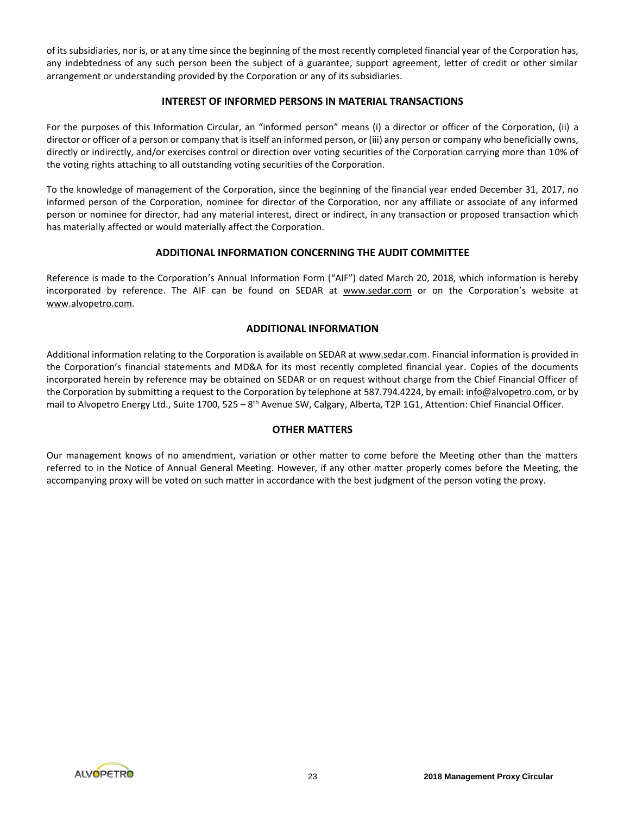of its subsidiaries, nor is, or at any time since the beginning of the most recently completed financial year of the Corporation has, any indebtedness of any such person been the subject of a guarantee, support agreement, letter of credit or other similar arrangement or understanding provided by the Corporation or any of its subsidiaries.

## **INTEREST OF INFORMED PERSONS IN MATERIAL TRANSACTIONS**

For the purposes of this Information Circular, an "informed person" means (i) a director or officer of the Corporation, (ii) a director or officer of a person or company that is itself an informed person, or (iii) any person or company who beneficially owns, directly or indirectly, and/or exercises control or direction over voting securities of the Corporation carrying more than 10% of the voting rights attaching to all outstanding voting securities of the Corporation.

To the knowledge of management of the Corporation, since the beginning of the financial year ended December 31, 2017, no informed person of the Corporation, nominee for director of the Corporation, nor any affiliate or associate of any informed person or nominee for director, had any material interest, direct or indirect, in any transaction or proposed transaction which has materially affected or would materially affect the Corporation.

# **ADDITIONAL INFORMATION CONCERNING THE AUDIT COMMITTEE**

Reference is made to the Corporation's Annual Information Form ("AIF") dated March 20, 2018, which information is hereby incorporated by reference. The AIF can be found on SEDAR at www.sedar.com or on the Corporation's website at www.alvopetro.com.

# **ADDITIONAL INFORMATION**

Additional information relating to the Corporation is available on SEDAR at www.sedar.com. Financial information is provided in the Corporation's financial statements and MD&A for its most recently completed financial year. Copies of the documents incorporated herein by reference may be obtained on SEDAR or on request without charge from the Chief Financial Officer of the Corporation by submitting a request to the Corporation by telephone at 587.794.4224, by email: info@alvopetro.com, or by mail to Alvopetro Energy Ltd., Suite 1700, 525 – 8<sup>th</sup> Avenue SW, Calgary, Alberta, T2P 1G1, Attention: Chief Financial Officer.

# **OTHER MATTERS**

Our management knows of no amendment, variation or other matter to come before the Meeting other than the matters referred to in the Notice of Annual General Meeting. However, if any other matter properly comes before the Meeting, the accompanying proxy will be voted on such matter in accordance with the best judgment of the person voting the proxy.

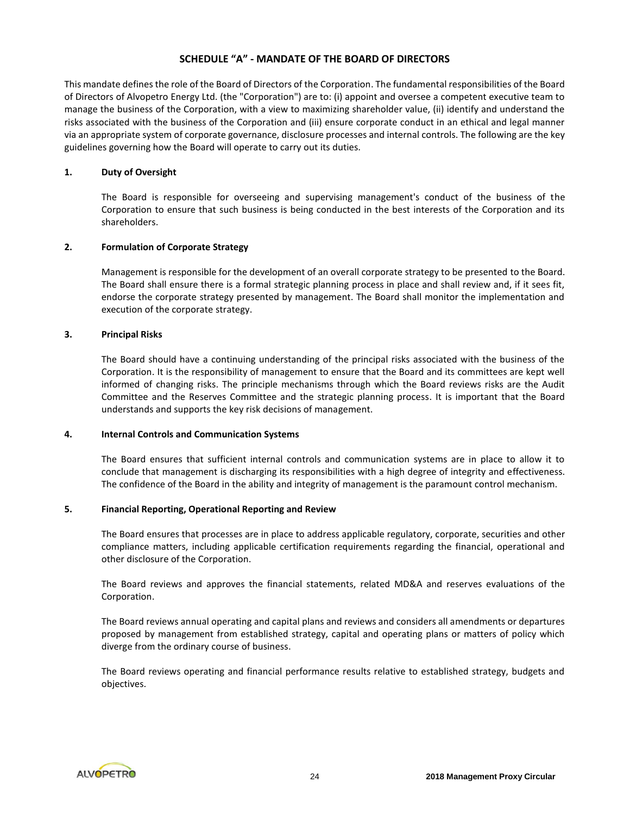## **SCHEDULE "A" - MANDATE OF THE BOARD OF DIRECTORS**

This mandate defines the role of the Board of Directors of the Corporation. The fundamental responsibilities of the Board of Directors of Alvopetro Energy Ltd. (the "Corporation") are to: (i) appoint and oversee a competent executive team to manage the business of the Corporation, with a view to maximizing shareholder value, (ii) identify and understand the risks associated with the business of the Corporation and (iii) ensure corporate conduct in an ethical and legal manner via an appropriate system of corporate governance, disclosure processes and internal controls. The following are the key guidelines governing how the Board will operate to carry out its duties.

## **1. Duty of Oversight**

The Board is responsible for overseeing and supervising management's conduct of the business of the Corporation to ensure that such business is being conducted in the best interests of the Corporation and its shareholders.

## **2. Formulation of Corporate Strategy**

Management is responsible for the development of an overall corporate strategy to be presented to the Board. The Board shall ensure there is a formal strategic planning process in place and shall review and, if it sees fit, endorse the corporate strategy presented by management. The Board shall monitor the implementation and execution of the corporate strategy.

## **3. Principal Risks**

The Board should have a continuing understanding of the principal risks associated with the business of the Corporation. It is the responsibility of management to ensure that the Board and its committees are kept well informed of changing risks. The principle mechanisms through which the Board reviews risks are the Audit Committee and the Reserves Committee and the strategic planning process. It is important that the Board understands and supports the key risk decisions of management.

#### **4. Internal Controls and Communication Systems**

The Board ensures that sufficient internal controls and communication systems are in place to allow it to conclude that management is discharging its responsibilities with a high degree of integrity and effectiveness. The confidence of the Board in the ability and integrity of management is the paramount control mechanism.

## **5. Financial Reporting, Operational Reporting and Review**

The Board ensures that processes are in place to address applicable regulatory, corporate, securities and other compliance matters, including applicable certification requirements regarding the financial, operational and other disclosure of the Corporation.

The Board reviews and approves the financial statements, related MD&A and reserves evaluations of the Corporation.

The Board reviews annual operating and capital plans and reviews and considers all amendments or departures proposed by management from established strategy, capital and operating plans or matters of policy which diverge from the ordinary course of business.

The Board reviews operating and financial performance results relative to established strategy, budgets and objectives.

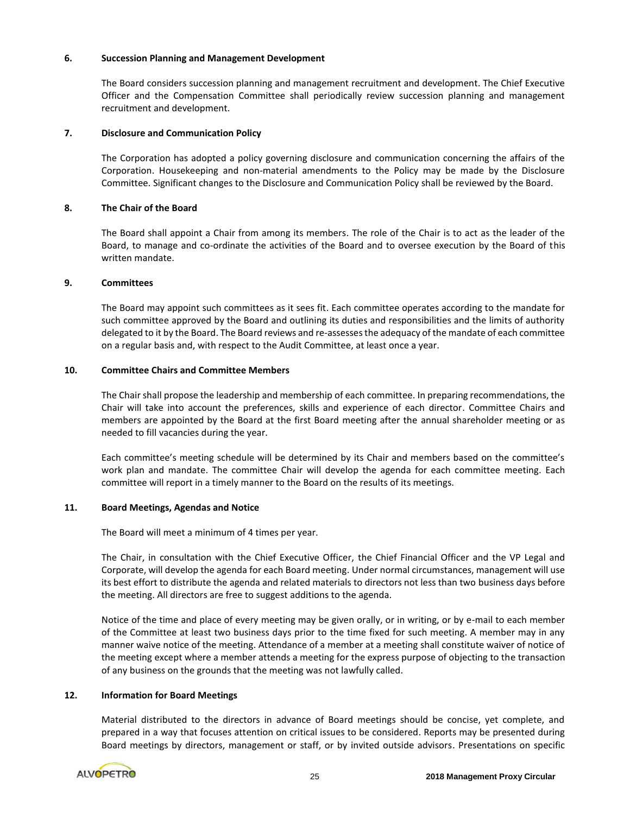## **6. Succession Planning and Management Development**

The Board considers succession planning and management recruitment and development. The Chief Executive Officer and the Compensation Committee shall periodically review succession planning and management recruitment and development.

## **7. Disclosure and Communication Policy**

The Corporation has adopted a policy governing disclosure and communication concerning the affairs of the Corporation. Housekeeping and non-material amendments to the Policy may be made by the Disclosure Committee. Significant changes to the Disclosure and Communication Policy shall be reviewed by the Board.

## **8. The Chair of the Board**

The Board shall appoint a Chair from among its members. The role of the Chair is to act as the leader of the Board, to manage and co-ordinate the activities of the Board and to oversee execution by the Board of this written mandate.

## **9. Committees**

The Board may appoint such committees as it sees fit. Each committee operates according to the mandate for such committee approved by the Board and outlining its duties and responsibilities and the limits of authority delegated to it by the Board. The Board reviews and re-assesses the adequacy of the mandate of each committee on a regular basis and, with respect to the Audit Committee, at least once a year.

## **10. Committee Chairs and Committee Members**

The Chair shall propose the leadership and membership of each committee. In preparing recommendations, the Chair will take into account the preferences, skills and experience of each director. Committee Chairs and members are appointed by the Board at the first Board meeting after the annual shareholder meeting or as needed to fill vacancies during the year.

Each committee's meeting schedule will be determined by its Chair and members based on the committee's work plan and mandate. The committee Chair will develop the agenda for each committee meeting. Each committee will report in a timely manner to the Board on the results of its meetings.

#### **11. Board Meetings, Agendas and Notice**

The Board will meet a minimum of 4 times per year.

The Chair, in consultation with the Chief Executive Officer, the Chief Financial Officer and the VP Legal and Corporate, will develop the agenda for each Board meeting. Under normal circumstances, management will use its best effort to distribute the agenda and related materials to directors not less than two business days before the meeting. All directors are free to suggest additions to the agenda.

Notice of the time and place of every meeting may be given orally, or in writing, or by e-mail to each member of the Committee at least two business days prior to the time fixed for such meeting. A member may in any manner waive notice of the meeting. Attendance of a member at a meeting shall constitute waiver of notice of the meeting except where a member attends a meeting for the express purpose of objecting to the transaction of any business on the grounds that the meeting was not lawfully called.

## **12. Information for Board Meetings**

Material distributed to the directors in advance of Board meetings should be concise, yet complete, and prepared in a way that focuses attention on critical issues to be considered. Reports may be presented during Board meetings by directors, management or staff, or by invited outside advisors. Presentations on specific

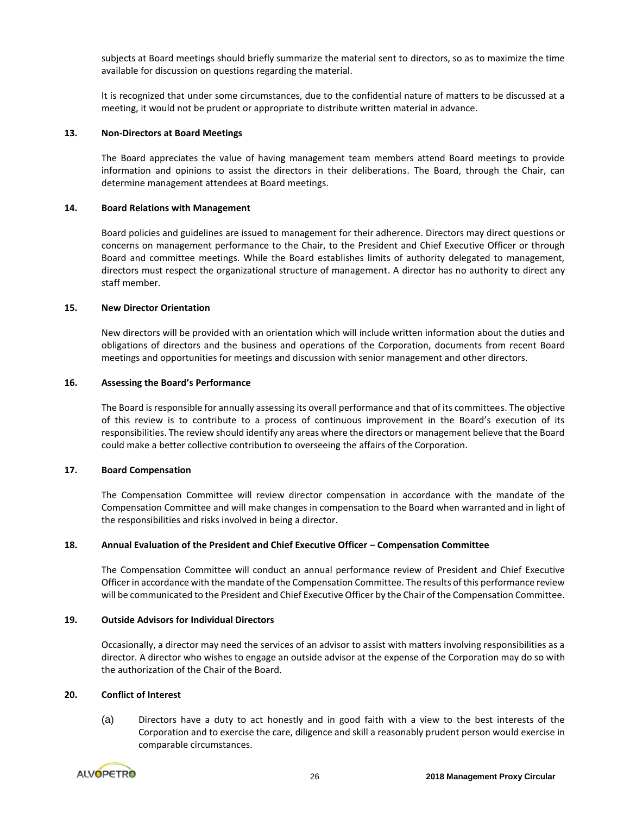subjects at Board meetings should briefly summarize the material sent to directors, so as to maximize the time available for discussion on questions regarding the material.

It is recognized that under some circumstances, due to the confidential nature of matters to be discussed at a meeting, it would not be prudent or appropriate to distribute written material in advance.

#### **13. Non-Directors at Board Meetings**

The Board appreciates the value of having management team members attend Board meetings to provide information and opinions to assist the directors in their deliberations. The Board, through the Chair, can determine management attendees at Board meetings.

## **14. Board Relations with Management**

Board policies and guidelines are issued to management for their adherence. Directors may direct questions or concerns on management performance to the Chair, to the President and Chief Executive Officer or through Board and committee meetings. While the Board establishes limits of authority delegated to management, directors must respect the organizational structure of management. A director has no authority to direct any staff member.

## **15. New Director Orientation**

New directors will be provided with an orientation which will include written information about the duties and obligations of directors and the business and operations of the Corporation, documents from recent Board meetings and opportunities for meetings and discussion with senior management and other directors.

## **16. Assessing the Board's Performance**

The Board is responsible for annually assessing its overall performance and that of its committees. The objective of this review is to contribute to a process of continuous improvement in the Board's execution of its responsibilities. The review should identify any areas where the directors or management believe that the Board could make a better collective contribution to overseeing the affairs of the Corporation.

## **17. Board Compensation**

The Compensation Committee will review director compensation in accordance with the mandate of the Compensation Committee and will make changes in compensation to the Board when warranted and in light of the responsibilities and risks involved in being a director.

## **18. Annual Evaluation of the President and Chief Executive Officer – Compensation Committee**

The Compensation Committee will conduct an annual performance review of President and Chief Executive Officer in accordance with the mandate of the Compensation Committee. The results of this performance review will be communicated to the President and Chief Executive Officer by the Chair of the Compensation Committee.

## **19. Outside Advisors for Individual Directors**

Occasionally, a director may need the services of an advisor to assist with matters involving responsibilities as a director. A director who wishes to engage an outside advisor at the expense of the Corporation may do so with the authorization of the Chair of the Board.

## **20. Conflict of Interest**

(a) Directors have a duty to act honestly and in good faith with a view to the best interests of the Corporation and to exercise the care, diligence and skill a reasonably prudent person would exercise in comparable circumstances.